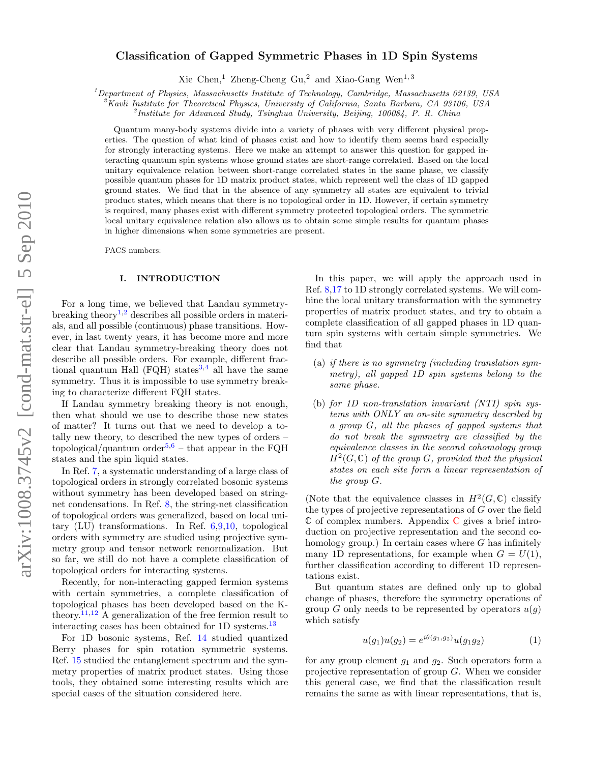# Classification of Gapped Symmetric Phases in 1D Spin Systems

Xie Chen,<sup>1</sup> Zheng-Cheng Gu,<sup>2</sup> and Xiao-Gang Wen<sup>1,3</sup>

<sup>1</sup>Department of Physics, Massachusetts Institute of Technology, Cambridge, Massachusetts 02139, USA

 $\alpha^2$ Kavli Institute for Theoretical Physics, University of California, Santa Barbara, CA 93106, USA

3 Institute for Advanced Study, Tsinghua University, Beijing, 100084, P. R. China

Quantum many-body systems divide into a variety of phases with very different physical properties. The question of what kind of phases exist and how to identify them seems hard especially for strongly interacting systems. Here we make an attempt to answer this question for gapped interacting quantum spin systems whose ground states are short-range correlated. Based on the local unitary equivalence relation between short-range correlated states in the same phase, we classify possible quantum phases for 1D matrix product states, which represent well the class of 1D gapped ground states. We find that in the absence of any symmetry all states are equivalent to trivial product states, which means that there is no topological order in 1D. However, if certain symmetry is required, many phases exist with different symmetry protected topological orders. The symmetric local unitary equivalence relation also allows us to obtain some simple results for quantum phases in higher dimensions when some symmetries are present.

PACS numbers:

#### I. INTRODUCTION

For a long time, we believed that Landau symmetry-breaking theory<sup>[1](#page-19-0)[,2](#page-19-1)</sup> describes all possible orders in materials, and all possible (continuous) phase transitions. However, in last twenty years, it has become more and more clear that Landau symmetry-breaking theory does not describe all possible orders. For example, different fractional quantum Hall (FQH) states  $3.4$  $3.4$  all have the same symmetry. Thus it is impossible to use symmetry breaking to characterize different FQH states.

If Landau symmetry breaking theory is not enough, then what should we use to describe those new states of matter? It turns out that we need to develop a totally new theory, to described the new types of orders – topological/quantum order<sup>[5](#page-19-4)[,6](#page-19-5)</sup> – that appear in the FQH states and the spin liquid states.

In Ref. [7,](#page-19-6) a systematic understanding of a large class of topological orders in strongly correlated bosonic systems without symmetry has been developed based on stringnet condensations. In Ref. [8,](#page-19-7) the string-net classification of topological orders was generalized, based on local unitary (LU) transformations. In Ref. [6,](#page-19-5)[9,](#page-19-8)[10,](#page-19-9) topological orders with symmetry are studied using projective symmetry group and tensor network renormalization. But so far, we still do not have a complete classification of topological orders for interacting systems.

Recently, for non-interacting gapped fermion systems with certain symmetries, a complete classification of topological phases has been developed based on the K-theory.<sup>[11,](#page-19-10)[12](#page-19-11)</sup> A generalization of the free fermion result to interacting cases has been obtained for 1D systems.<sup>[13](#page-19-12)</sup>

For 1D bosonic systems, Ref. [14](#page-19-13) studied quantized Berry phases for spin rotation symmetric systems. Ref. [15](#page-19-14) studied the entanglement spectrum and the symmetry properties of matrix product states. Using those tools, they obtained some interesting results which are special cases of the situation considered here.

In this paper, we will apply the approach used in Ref. [8,](#page-19-7)[17](#page-19-15) to 1D strongly correlated systems. We will combine the local unitary transformation with the symmetry properties of matrix product states, and try to obtain a complete classification of all gapped phases in 1D quantum spin systems with certain simple symmetries. We find that

- (a) if there is no symmetry (including translation symmetry), all gapped 1D spin systems belong to the same phase.
- (b) for 1D non-translation invariant (NTI) spin systems with ONLY an on-site symmetry described by a group G, all the phases of gapped systems that do not break the symmetry are classified by the equivalence classes in the second cohomology group  $H^2(G,\mathbb{C})$  of the group G, provided that the physical states on each site form a linear representation of the group G.

(Note that the equivalence classes in  $H^2(G,\mathbb{C})$  classify the types of projective representations of G over the field  $\mathbb C$  $\mathbb C$  of complex numbers. Appendix  $C$  gives a brief introduction on projective representation and the second cohomology group.) In certain cases where  $G$  has infinitely many 1D representations, for example when  $G = U(1)$ , further classification according to different 1D representations exist.

But quantum states are defined only up to global change of phases, therefore the symmetry operations of group G only needs to be represented by operators  $u(g)$ which satisfy

$$
u(g_1)u(g_2) = e^{i\theta(g_1,g_2)}u(g_1g_2)
$$
 (1)

for any group element  $g_1$  and  $g_2$ . Such operators form a projective representation of group G. When we consider this general case, we find that the classification result remains the same as with linear representations, that is,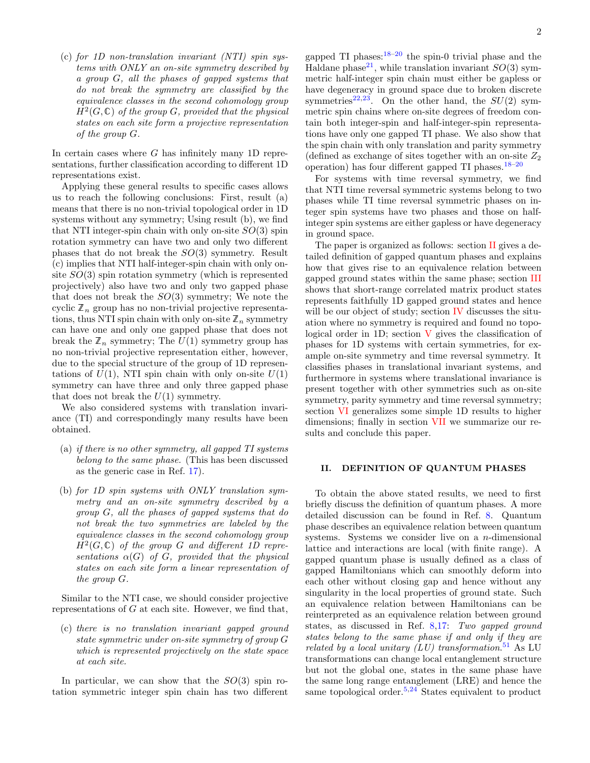(c) for 1D non-translation invariant (NTI) spin systems with ONLY an on-site symmetry described by a group G, all the phases of gapped systems that do not break the symmetry are classified by the equivalence classes in the second cohomology group  $H<sup>2</sup>(G,\mathbb{C})$  of the group G, provided that the physical states on each site form a projective representation of the group G.

In certain cases where  $G$  has infinitely many 1D representations, further classification according to different 1D representations exist.

Applying these general results to specific cases allows us to reach the following conclusions: First, result (a) means that there is no non-trivial topological order in 1D systems without any symmetry; Using result (b), we find that NTI integer-spin chain with only on-site  $SO(3)$  spin rotation symmetry can have two and only two different phases that do not break the  $SO(3)$  symmetry. Result (c) implies that NTI half-integer-spin chain with only onsite  $SO(3)$  spin rotation symmetry (which is represented projectively) also have two and only two gapped phase that does not break the  $SO(3)$  symmetry; We note the cyclic  $\mathbb{Z}_n$  group has no non-trivial projective representations, thus NTI spin chain with only on-site  $\mathbb{Z}_n$  symmetry can have one and only one gapped phase that does not break the  $\mathbb{Z}_n$  symmetry; The  $U(1)$  symmetry group has no non-trivial projective representation either, however, due to the special structure of the group of 1D representations of  $U(1)$ , NTI spin chain with only on-site  $U(1)$ symmetry can have three and only three gapped phase that does not break the  $U(1)$  symmetry.

We also considered systems with translation invariance (TI) and correspondingly many results have been obtained.

- (a) if there is no other symmetry, all gapped TI systems belong to the same phase. (This has been discussed as the generic case in Ref. [17\)](#page-19-15).
- (b) for 1D spin systems with ONLY translation symmetry and an on-site symmetry described by a group G, all the phases of gapped systems that do not break the two symmetries are labeled by the equivalence classes in the second cohomology group  $H<sup>2</sup>(G,\mathbb{C})$  of the group G and different 1D representations  $\alpha(G)$  of G, provided that the physical states on each site form a linear representation of the group G.

Similar to the NTI case, we should consider projective representations of  $G$  at each site. However, we find that,

(c) there is no translation invariant gapped ground state symmetric under on-site symmetry of group G which is represented projectively on the state space at each site.

In particular, we can show that the  $SO(3)$  spin rotation symmetric integer spin chain has two different

gapped TI phases: $18-20$  $18-20$  the spin-0 trivial phase and the Haldane phase<sup>[21](#page-19-18)</sup>, while translation invariant  $SO(3)$  symmetric half-integer spin chain must either be gapless or have degeneracy in ground space due to broken discrete symmetries<sup>[22](#page-20-0)[,23](#page-20-1)</sup>. On the other hand, the  $SU(2)$  symmetric spin chains where on-site degrees of freedom contain both integer-spin and half-integer-spin representations have only one gapped TI phase. We also show that the spin chain with only translation and parity symmetry (defined as exchange of sites together with an on-site  $Z_2$ ) operation) has four different gapped TI phases. $18-20$  $18-20$ 

For systems with time reversal symmetry, we find that NTI time reversal symmetric systems belong to two phases while TI time reversal symmetric phases on integer spin systems have two phases and those on halfinteger spin systems are either gapless or have degeneracy in ground space.

The paper is organized as follows: section [II](#page-1-0) gives a detailed definition of gapped quantum phases and explains how that gives rise to an equivalence relation between gapped ground states within the same phase; section [III](#page-2-0) shows that short-range correlated matrix product states represents faithfully 1D gapped ground states and hence will be our object of study; section [IV](#page-4-0) discusses the situation where no symmetry is required and found no topological order in  $1D$ ; section [V](#page-5-0) gives the classification of phases for 1D systems with certain symmetries, for example on-site symmetry and time reversal symmetry. It classifies phases in translational invariant systems, and furthermore in systems where translational invariance is present together with other symmetries such as on-site symmetry, parity symmetry and time reversal symmetry; section [VI](#page-12-0) generalizes some simple 1D results to higher dimensions; finally in section [VII](#page-13-0) we summarize our results and conclude this paper.

### <span id="page-1-0"></span>II. DEFINITION OF QUANTUM PHASES

To obtain the above stated results, we need to first briefly discuss the definition of quantum phases. A more detailed discussion can be found in Ref. [8.](#page-19-7) Quantum phase describes an equivalence relation between quantum systems. Systems we consider live on a *n*-dimensional lattice and interactions are local (with finite range). A gapped quantum phase is usually defined as a class of gapped Hamiltonians which can smoothly deform into each other without closing gap and hence without any singularity in the local properties of ground state. Such an equivalence relation between Hamiltonians can be reinterpreted as an equivalence relation between ground states, as discussed in Ref. [8,](#page-19-7)[17:](#page-19-15) Two gapped ground states belong to the same phase if and only if they are related by a local unitary (LU) transformation.<sup>[51](#page-20-2)</sup> As LU transformations can change local entanglement structure but not the global one, states in the same phase have the same long range entanglement (LRE) and hence the same topological order.<sup>[5](#page-19-4)[,24](#page-20-3)</sup> States equivalent to product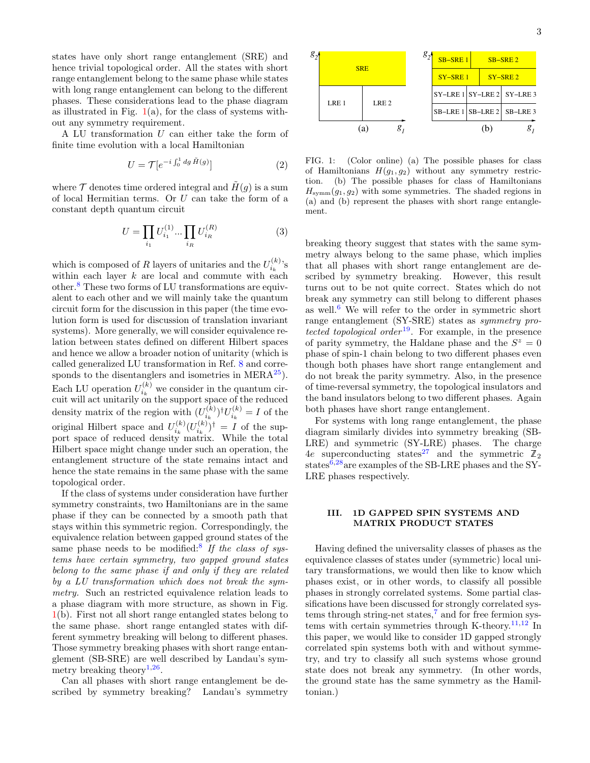states have only short range entanglement (SRE) and hence trivial topological order. All the states with short range entanglement belong to the same phase while states with long range entanglement can belong to the different phases. These considerations lead to the phase diagram as illustrated in Fig.  $1(a)$  $1(a)$ , for the class of systems without any symmetry requirement.

A LU transformation  $U$  can either take the form of finite time evolution with a local Hamiltonian

$$
U = \mathcal{T}[e^{-i\int_0^1 dg \tilde{H}(g)}]
$$
 (2)

where  $\mathcal T$  denotes time ordered integral and  $\tilde H(g)$  is a sum of local Hermitian terms. Or U can take the form of a constant depth quantum circuit

$$
U = \prod_{i_1} U_{i_1}^{(1)} \cdots \prod_{i_R} U_{i_R}^{(R)} \tag{3}
$$

which is composed of R layers of unitaries and the  $U_{i_k}^{(k)}$ 's within each layer  $k$  are local and commute with each other.[8](#page-19-7) These two forms of LU transformations are equivalent to each other and we will mainly take the quantum circuit form for the discussion in this paper (the time evolution form is used for discussion of translation invariant systems). More generally, we will consider equivalence relation between states defined on different Hilbert spaces and hence we allow a broader notion of unitarity (which is called generalized LU transformation in Ref. [8](#page-19-7) and corresponds to the disentanglers and isometries in  $MERA^{25}$  $MERA^{25}$  $MERA^{25}$ ). Each LU operation  $U_{i_k}^{(k)}$  we consider in the quantum circuit will act unitarily on the support space of the reduced density matrix of the region with  $(U_{i_k}^{(k)})^{\dagger}U_{i_k}^{(k)} = I$  of the original Hilbert space and  $U_{i_k}^{(k)} (U_{i_k}^{(k)})^{\dagger} = I$  of the support space of reduced density matrix. While the total Hilbert space might change under such an operation, the entanglement structure of the state remains intact and hence the state remains in the same phase with the same topological order.

If the class of systems under consideration have further symmetry constraints, two Hamiltonians are in the same phase if they can be connected by a smooth path that stays within this symmetric region. Correspondingly, the equivalence relation between gapped ground states of the same phase needs to be modified:<sup>[8](#page-19-7)</sup> If the class of systems have certain symmetry, two gapped ground states belong to the same phase if and only if they are related by a LU transformation which does not break the symmetry. Such an restricted equivalence relation leads to a phase diagram with more structure, as shown in Fig. [1\(](#page-2-1)b). First not all short range entangled states belong to the same phase. short range entangled states with different symmetry breaking will belong to different phases. Those symmetry breaking phases with short range entanglement (SB-SRE) are well described by Landau's sym-metry breaking theory<sup>[1,](#page-19-0)[26](#page-20-5)</sup>.

Can all phases with short range entanglement be described by symmetry breaking? Landau's symmetry



*g 1*  $\mathcal{E}_2$ <sup> $\leftarrow$ </sup> SRE  $LRE1$  LRE 2 SY−SRE 1 SB−LRE 1 SB−LRE 2 SY−SRE 2 SB−LRE 3  $SY$ –LRE 1 SY–LRE 2 SY–LRE 3 *1* (a)  $g_1$  (b)  $g_2$ 

*2 g*

<span id="page-2-2"></span><span id="page-2-1"></span>FIG. 1: (Color online) (a) The possible phases for class of Hamiltonians  $H(g_1, g_2)$  without any symmetry restriction. (b) The possible phases for class of Hamiltonians  $H_{\text{symm}}(g_1, g_2)$  with some symmetries. The shaded regions in (a) and (b) represent the phases with short range entanglement.

breaking theory suggest that states with the same symmetry always belong to the same phase, which implies that all phases with short range entanglement are described by symmetry breaking. However, this result turns out to be not quite correct. States which do not break any symmetry can still belong to different phases as well.<sup>[6](#page-19-5)</sup> We will refer to the order in symmetric short range entanglement (SY-SRE) states as symmetry pro-tected topological order<sup>[19](#page-19-19)</sup>. For example, in the presence of parity symmetry, the Haldane phase and the  $S^z = 0$ phase of spin-1 chain belong to two different phases even though both phases have short range entanglement and do not break the parity symmetry. Also, in the presence of time-reversal symmetry, the topological insulators and the band insulators belong to two different phases. Again both phases have short range entanglement.

For systems with long range entanglement, the phase diagram similarly divides into symmetry breaking (SB-LRE) and symmetric (SY-LRE) phases. The charge 4e superconducting states<sup>[27](#page-20-6)</sup> and the symmetric  $\mathbb{Z}_2$ states $\frac{6,28}{8}$  $\frac{6,28}{8}$  $\frac{6,28}{8}$  $\frac{6,28}{8}$  are examples of the SB-LRE phases and the SY-LRE phases respectively.

## <span id="page-2-0"></span>III. 1D GAPPED SPIN SYSTEMS AND MATRIX PRODUCT STATES

Having defined the universality classes of phases as the equivalence classes of states under (symmetric) local unitary transformations, we would then like to know which phases exist, or in other words, to classify all possible phases in strongly correlated systems. Some partial classifications have been discussed for strongly correlated sys-tems through string-net states,<sup>[7](#page-19-6)</sup> and for free fermion sys-tems with certain symmetries through K-theory.<sup>[11](#page-19-10)[,12](#page-19-11)</sup> In this paper, we would like to consider 1D gapped strongly correlated spin systems both with and without symmetry, and try to classify all such systems whose ground state does not break any symmetry. (In other words, the ground state has the same symmetry as the Hamiltonian.)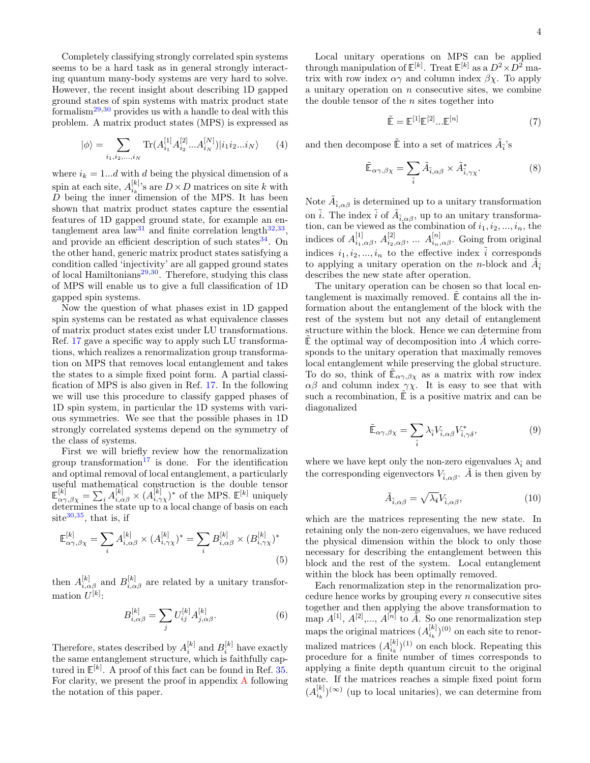Completely classifying strongly correlated spin systems seems to be a hard task as in general strongly interacting quantum many-body systems are very hard to solve. However, the recent insight about describing 1D gapped ground states of spin systems with matrix product state formalism[29](#page-20-8)[,30](#page-20-9) provides us with a handle to deal with this problem. A matrix product states (MPS) is expressed as

<span id="page-3-0"></span>
$$
|\phi\rangle = \sum_{i_1, i_2, \dots, i_N} \text{Tr}(A_{i_1}^{[1]} A_{i_2}^{[2]} ... A_{i_N}^{[N]}) | i_1 i_2 ... i_N \rangle \tag{4}
$$

where  $i_k = 1...d$  with d being the physical dimension of a spin at each site,  $A_{i_k}^{[k]}$ 's are  $D \times D$  matrices on site k with D being the inner dimension of the MPS. It has been shown that matrix product states capture the essential features of 1D gapped ground state, for example an en-tanglement area law<sup>[31](#page-20-10)</sup> and finite correlation length<sup>[32,](#page-20-11)[33](#page-20-12)</sup>, and provide an efficient description of such states $34$ . On the other hand, generic matrix product states satisfying a condition called 'injectivity' are all gapped ground states of local Hamiltonians $29,30$  $29,30$ . Therefore, studying this class of MPS will enable us to give a full classification of 1D gapped spin systems.

Now the question of what phases exist in 1D gapped spin systems can be restated as what equivalence classes of matrix product states exist under LU transformations. Ref. [17](#page-19-15) gave a specific way to apply such LU transformations, which realizes a renormalization group transformation on MPS that removes local entanglement and takes the states to a simple fixed point form. A partial classification of MPS is also given in Ref. [17.](#page-19-15) In the following we will use this procedure to classify gapped phases of 1D spin system, in particular the 1D systems with various symmetries. We see that the possible phases in 1D strongly correlated systems depend on the symmetry of the class of systems.

First we will briefly review how the renormalization group transformation<sup>[17](#page-19-15)</sup> is done. For the identification and optimal removal of local entanglement, a particularly useful mathematical construction is the double tensor  $\mathbb{E}^{[k]}_{\alpha\gamma,\beta\chi} = \sum_i A^{[k]}_{i,\alpha\beta} \times (A^{[k]}_{i,\gamma\chi})^*$  of the MPS.  $\mathbb{E}^{[k]}$  uniquely determines the state up to a local change of basis on each site $30,35$  $30,35$ , that is, if

$$
\mathbb{E}_{\alpha\gamma,\beta\chi}^{[k]} = \sum_{i} A_{i,\alpha\beta}^{[k]} \times (A_{i,\gamma\chi}^{[k]})^* = \sum_{i} B_{i,\alpha\beta}^{[k]} \times (B_{i,\gamma\chi}^{[k]})^*
$$
\n(5)

then  $A_{i,\alpha\beta}^{[k]}$  and  $B_{i,\alpha\beta}^{[k]}$  are related by a unitary transformation  $U^{[k]}$ :

$$
B_{i,\alpha\beta}^{[k]} = \sum_{j} U_{ij}^{[k]} A_{j,\alpha\beta}^{[k]}.
$$
 (6)

Therefore, states described by  $A_i^{[k]}$  and  $B_i^{[k]}$  have exactly the same entanglement structure, which is faithfully captured in  $\mathbb{E}^{[k]}$ . A proof of this fact can be found in Ref. [35.](#page-20-14) For clarity, we present the proof in appendix [A](#page-13-1) following the notation of this paper.

Local unitary operations on MPS can be applied through manipulation of  $\mathbb{E}^{[k]}$ . Treat  $\mathbb{E}^{[k]}$  as a  $D^2 \times D^2$  matrix with row index  $\alpha\gamma$  and column index  $\beta\chi$ . To apply a unitary operation on  $n$  consecutive sites, we combine the double tensor of the  $n$  sites together into

<span id="page-3-1"></span>
$$
\tilde{\mathbb{E}} = \mathbb{E}^{[1]}\mathbb{E}^{[2]}...\mathbb{E}^{[n]} \tag{7}
$$

and then decompose  $\tilde{\mathbb{E}}$  into a set of matrices  $\tilde{A}_{\tilde{i}}$  's

$$
\tilde{\mathbb{E}}_{\alpha\gamma,\beta\chi} = \sum_{\tilde{i}} \tilde{A}_{\tilde{i},\alpha\beta} \times \tilde{A}_{\tilde{i},\gamma\chi}^*.
$$
 (8)

Note  $\tilde{A}_{\tilde{i},\alpha\beta}$  is determined up to a unitary transformation on  $\tilde{i}$ . The index  $\tilde{i}$  of  $\tilde{A}_{\tilde{i},\alpha\beta}$ , up to an unitary transformation, can be viewed as the combination of  $i_1, i_2, ..., i_n$ , the indices of  $A_{i_1,\alpha\beta}^{[1]}$ ,  $A_{i_2,\alpha\beta}^{[2]}$ , ...  $A_{i_n,\alpha\beta}^{[n]}$ . Going from original indices  $i_1, i_2, ..., i_n$  to the effective index  $\tilde{i}$  corresponds to applying a unitary operation on the *n*-block and  $\tilde{A}_{\tilde{i}}$ describes the new state after operation.

The unitary operation can be chosen so that local entanglement is maximally removed.  $E$  contains all the information about the entanglement of the block with the rest of the system but not any detail of entanglement structure within the block. Hence we can determine from  $E$  the optimal way of decomposition into A which corresponds to the unitary operation that maximally removes local entanglement while preserving the global structure. To do so, think of  $\mathbb{E}_{\alpha\gamma,\beta\chi}$  as a matrix with row index  $\alpha\beta$  and column index  $\gamma\chi$ . It is easy to see that with such a recombination,  $\tilde{E}$  is a positive matrix and can be diagonalized

$$
\tilde{\mathbb{E}}_{\alpha\gamma,\beta\chi} = \sum_{\tilde{i}} \lambda_{\tilde{i}} V_{\tilde{i},\alpha\beta} V_{\tilde{i},\gamma\delta}^*,\tag{9}
$$

where we have kept only the non-zero eigenvalues  $\lambda_{\tilde{i}}$  and the corresponding eigenvectors  $V_{\tilde{i},\alpha\beta}$ . A is then given by

$$
\tilde{A}_{\tilde{i},\alpha\beta} = \sqrt{\lambda_i} V_{\tilde{i},\alpha\beta},\tag{10}
$$

which are the matrices representing the new state. In retaining only the non-zero eigenvalues, we have reduced the physical dimension within the block to only those necessary for describing the entanglement between this block and the rest of the system. Local entanglement within the block has been optimally removed.

Each renormalization step in the renormalization procedure hence works by grouping every  $n$  consecutive sites together and then applying the above transformation to map  $A^{[1]}$ ,  $A^{[2]}$ ,...,  $A^{[n]}$  to  $\tilde{A}$ . So one renormalization step maps the original matrices  $(A_{i_k}^{[k]})^{(0)}$  on each site to renormalized matrices  $(A_{i_k}^{[k]})^{(1)}$  on each block. Repeating this procedure for a finite number of times corresponds to applying a finite depth quantum circuit to the original state. If the matrices reaches a simple fixed point form  $(A_{i_k}^{[k]})^{(\infty)}$  (up to local unitaries), we can determine from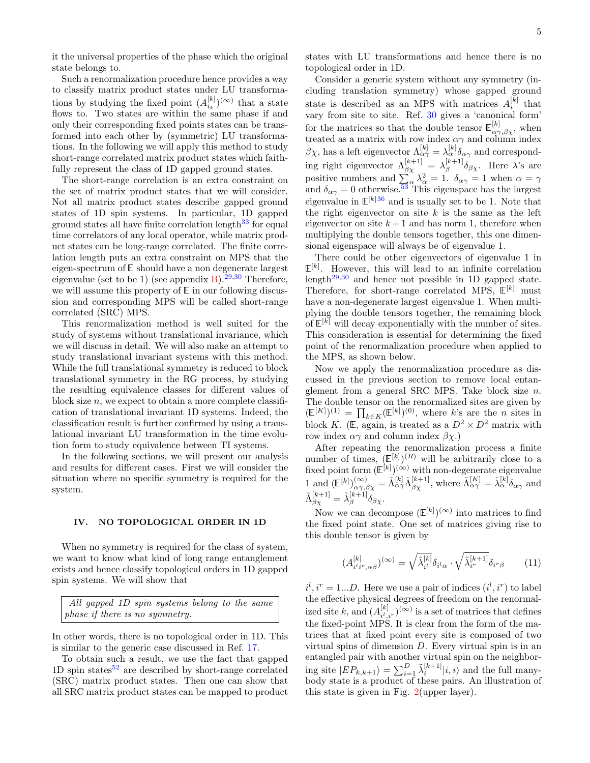it the universal properties of the phase which the original state belongs to.

Such a renormalization procedure hence provides a way to classify matrix product states under LU transformations by studying the fixed point  $(A_{i_k}^{[k]})^{(\infty)}$  that a state flows to. Two states are within the same phase if and only their corresponding fixed points states can be transformed into each other by (symmetric) LU transformations. In the following we will apply this method to study short-range correlated matrix product states which faithfully represent the class of 1D gapped ground states.

The short-range correlation is an extra constraint on the set of matrix product states that we will consider. Not all matrix product states describe gapped ground states of 1D spin systems. In particular, 1D gapped ground states all have finite correlation length<sup>[33](#page-20-12)</sup> for equal time correlators of any local operator, while matrix product states can be long-range correlated. The finite correlation length puts an extra constraint on MPS that the eigen-spectrum of E should have a non degenerate largest eigenvalue (set to be 1) (see appendix [B\)](#page-14-0).<sup>[29,](#page-20-8)[30](#page-20-9)</sup> Therefore, we will assume this property of  $E$  in our following discussion and corresponding MPS will be called short-range correlated (SRC) MPS.

This renormalization method is well suited for the study of systems without translational invariance, which we will discuss in detail. We will also make an attempt to study translational invariant systems with this method. While the full translational symmetry is reduced to block translational symmetry in the RG process, by studying the resulting equivalence classes for different values of block size  $n$ , we expect to obtain a more complete classification of translational invariant 1D systems. Indeed, the classification result is further confirmed by using a translational invariant LU transformation in the time evolution form to study equivalence between TI systems.

In the following sections, we will present our analysis and results for different cases. First we will consider the situation where no specific symmetry is required for the system.

## <span id="page-4-0"></span>IV. NO TOPOLOGICAL ORDER IN 1D

When no symmetry is required for the class of system, we want to know what kind of long range entanglement exists and hence classify topological orders in 1D gapped spin systems. We will show that

All gapped 1D spin systems belong to the same phase if there is no symmetry.

In other words, there is no topological order in 1D. This is similar to the generic case discussed in Ref. [17.](#page-19-15)

To obtain such a result, we use the fact that gapped 1D spin states $52$  are described by short-range correlated (SRC) matrix product states. Then one can show that all SRC matrix product states can be mapped to product states with LU transformations and hence there is no topological order in 1D.

Consider a generic system without any symmetry (including translation symmetry) whose gapped ground state is described as an MPS with matrices  $A_i^{[k]}$  that vary from site to site. Ref. [30](#page-20-9) gives a 'canonical form' for the matrices so that the double tensor  $\mathbb{E}^{[k]}_{\alpha\gamma,\beta\chi}$ , when treated as a matrix with row index  $\alpha\gamma$  and column index  $\beta \chi$ , has a left eigenvector  $\Lambda_{\alpha\gamma}^{[k]} = \lambda_{\alpha}^{[k]} \delta_{\alpha\gamma}$  and corresponding right eigenvector  $\Lambda_{\beta\chi}^{[k+1]} = \lambda_{\beta}^{[k+1]}$  $\delta_{\beta}^{[\kappa+1]} \delta_{\beta\chi}$ . Here  $\lambda$ 's are positive numbers and  $\sum_{\alpha} \lambda_{\alpha}^2 = 1$ .  $\delta_{\alpha\gamma} = 1$  when  $\alpha = \gamma$ and  $\delta_{\alpha\gamma} = 0$  otherwise.<sup>[53](#page-20-16)</sup> This eigenspace has the largest eigenvalue in  $\mathbb{E}^{[k]36}$  $\mathbb{E}^{[k]36}$  $\mathbb{E}^{[k]36}$  and is usually set to be 1. Note that the right eigenvector on site  $k$  is the same as the left eigenvector on site  $k+1$  and has norm 1, therefore when multiplying the double tensors together, this one dimensional eigenspace will always be of eigenvalue 1.

There could be other eigenvectors of eigenvalue 1 in  $\mathbb{E}^{[k]}$ . However, this will lead to an infinite correlation length<sup>[29](#page-20-8)[,30](#page-20-9)</sup> and hence not possible in 1D gapped state. Therefore, for short-range correlated MPS,  $E^{[k]}$  must have a non-degenerate largest eigenvalue 1. When multiplying the double tensors together, the remaining block of  $\mathbb{E}^{[k]}$  will decay exponentially with the number of sites. This consideration is essential for determining the fixed point of the renormalization procedure when applied to the MPS, as shown below.

Now we apply the renormalization procedure as discussed in the previous section to remove local entanglement from a general SRC MPS. Take block size  $n$ . The double tensor on the renormalized sites are given by  $(\mathbb{E}^{[K]})^{(1)} = \prod_{k \in K} (\mathbb{E}^{[k]})^{(0)},$  where k's are the *n* sites in block K. (E, again, is treated as a  $D^2 \times D^2$  matrix with row index  $\alpha\gamma$  and column index  $\beta\chi$ .)

After repeating the renormalization process a finite number of times,  $(\mathbb{E}^{[k]})^{(R)}$  will be arbitrarily close to a fixed point form  $(\mathbb{E}^{[k]})^{(\infty)}$  with non-degenerate eigenvalue 1 and  $(\mathbb{E}^{[k]})_{\alpha\gamma,\beta\chi}^{(\infty)} = \tilde{\Lambda}_{\alpha\gamma}^{[k]}\tilde{\Lambda}_{\beta\chi}^{[k+1]},$  where  $\tilde{\Lambda}_{\alpha\gamma}^{[K]} = \tilde{\lambda}_{\alpha}^{[k]}\delta_{\alpha\gamma}$  and  $\tilde{\Lambda}_{\beta\chi}^{[k+1]}=\tilde{\lambda}_{\beta}^{[k+1]}$  $\int_{\beta}^{\lbrack \kappa +1]} \delta _{\beta \chi}.$ 

Now we can decompose  $(\mathbb{E}^{[k]})^{(\infty)}$  into matrices to find the fixed point state. One set of matrices giving rise to this double tensor is given by

<span id="page-4-1"></span>
$$
(A_{i'i'r,\alpha\beta}^{[k]})^{(\infty)} = \sqrt{\tilde{\lambda}_{i'}^{[k]}} \delta_{i'\alpha} \cdot \sqrt{\tilde{\lambda}_{i'}^{[k+1]}} \delta_{i'r\beta} \qquad (11)
$$

 $i^l, i^r = 1...D$ . Here we use a pair of indices  $(i^l, i^r)$  to label the effective physical degrees of freedom on the renormalized site k, and  $(A_{ii}^{[k]}$  $\binom{[k]}{i^l, i^r}$  is a set of matrices that defines the fixed-point MPS. It is clear from the form of the matrices that at fixed point every site is composed of two virtual spins of dimension D. Every virtual spin is in an entangled pair with another virtual spin on the neighboring site  $|EP_{k,k+1}\rangle = \sum_{i=1}^{D} \tilde{\lambda}_i^{[k+1]} |i,i\rangle$  and the full manybody state is a product of these pairs. An illustration of this state is given in Fig. [2\(](#page-5-1)upper layer).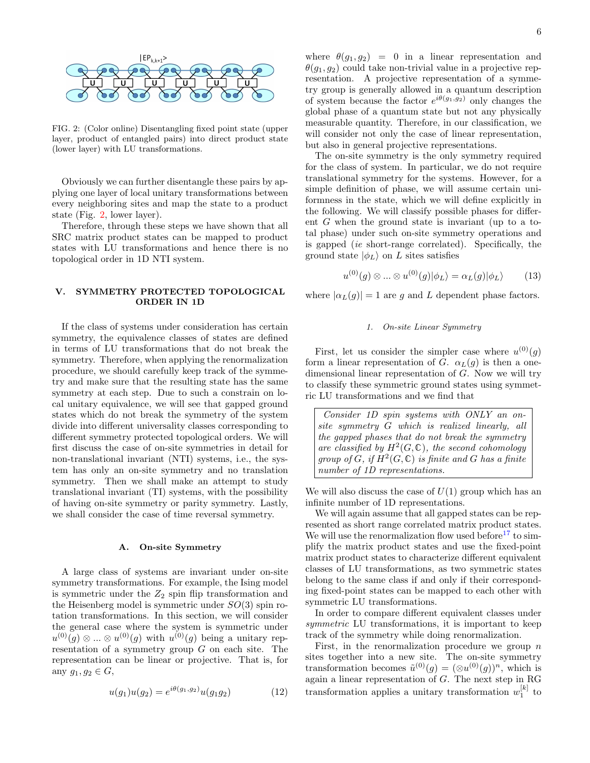

<span id="page-5-1"></span>FIG. 2: (Color online) Disentangling fixed point state (upper layer, product of entangled pairs) into direct product state (lower layer) with LU transformations.

Obviously we can further disentangle these pairs by applying one layer of local unitary transformations between every neighboring sites and map the state to a product state (Fig. [2,](#page-5-1) lower layer).

Therefore, through these steps we have shown that all SRC matrix product states can be mapped to product states with LU transformations and hence there is no topological order in 1D NTI system.

## <span id="page-5-0"></span>V. SYMMETRY PROTECTED TOPOLOGICAL ORDER IN 1D

If the class of systems under consideration has certain symmetry, the equivalence classes of states are defined in terms of LU transformations that do not break the symmetry. Therefore, when applying the renormalization procedure, we should carefully keep track of the symmetry and make sure that the resulting state has the same symmetry at each step. Due to such a constrain on local unitary equivalence, we will see that gapped ground states which do not break the symmetry of the system divide into different universality classes corresponding to different symmetry protected topological orders. We will first discuss the case of on-site symmetries in detail for non-translational invariant (NTI) systems, i.e., the system has only an on-site symmetry and no translation symmetry. Then we shall make an attempt to study translational invariant (TI) systems, with the possibility of having on-site symmetry or parity symmetry. Lastly, we shall consider the case of time reversal symmetry.

#### A. On-site Symmetry

A large class of systems are invariant under on-site symmetry transformations. For example, the Ising model is symmetric under the  $Z_2$  spin flip transformation and the Heisenberg model is symmetric under  $SO(3)$  spin rotation transformations. In this section, we will consider the general case where the system is symmetric under  $u^{(0)}(g) \otimes ... \otimes u^{(0)}(g)$  with  $u^{(0)}(g)$  being a unitary representation of a symmetry group  $G$  on each site. The representation can be linear or projective. That is, for any  $g_1, g_2 \in G$ ,

$$
u(g_1)u(g_2) = e^{i\theta(g_1,g_2)}u(g_1g_2)
$$
 (12)

where  $\theta(g_1, g_2) = 0$  in a linear representation and  $\theta(g_1, g_2)$  could take non-trivial value in a projective representation. A projective representation of a symmetry group is generally allowed in a quantum description of system because the factor  $e^{i\theta(g_1,g_2)}$  only changes the global phase of a quantum state but not any physically measurable quantity. Therefore, in our classification, we will consider not only the case of linear representation, but also in general projective representations.

The on-site symmetry is the only symmetry required for the class of system. In particular, we do not require translational symmetry for the systems. However, for a simple definition of phase, we will assume certain uniformness in the state, which we will define explicitly in the following. We will classify possible phases for different G when the ground state is invariant (up to a total phase) under such on-site symmetry operations and is gapped (ie short-range correlated). Specifically, the ground state  $|\phi_L\rangle$  on L sites satisfies

$$
u^{(0)}(g) \otimes \ldots \otimes u^{(0)}(g)|\phi_L\rangle = \alpha_L(g)|\phi_L\rangle \tag{13}
$$

where  $|\alpha_L(g)| = 1$  are g and L dependent phase factors.

#### <span id="page-5-3"></span><span id="page-5-2"></span>1. On-site Linear Symmetry

First, let us consider the simpler case where  $u^{(0)}(g)$ form a linear representation of G.  $\alpha_L(q)$  is then a onedimensional linear representation of G. Now we will try to classify these symmetric ground states using symmetric LU transformations and we find that

Consider 1D spin systems with ONLY an onsite symmetry G which is realized linearly, all the gapped phases that do not break the symmetry are classified by  $H^2(G, \mathbb{C})$ , the second cohomology group of  $G$ , if  $H^2(G,\mathbb{C})$  is finite and G has a finite number of 1D representations.

We will also discuss the case of  $U(1)$  group which has an infinite number of 1D representations.

We will again assume that all gapped states can be represented as short range correlated matrix product states. We will use the renormalization flow used before<sup>[17](#page-19-15)</sup> to simplify the matrix product states and use the fixed-point matrix product states to characterize different equivalent classes of LU transformations, as two symmetric states belong to the same class if and only if their corresponding fixed-point states can be mapped to each other with symmetric LU transformations.

In order to compare different equivalent classes under symmetric LU transformations, it is important to keep track of the symmetry while doing renormalization.

First, in the renormalization procedure we group  $n$ sites together into a new site. The on-site symmetry transformation becomes  $\tilde{u}^{(0)}(g) = (\otimes u^{(0)}(g))^n$ , which is again a linear representation of G. The next step in RG transformation applies a unitary transformation  $w_1^{[k]}$  to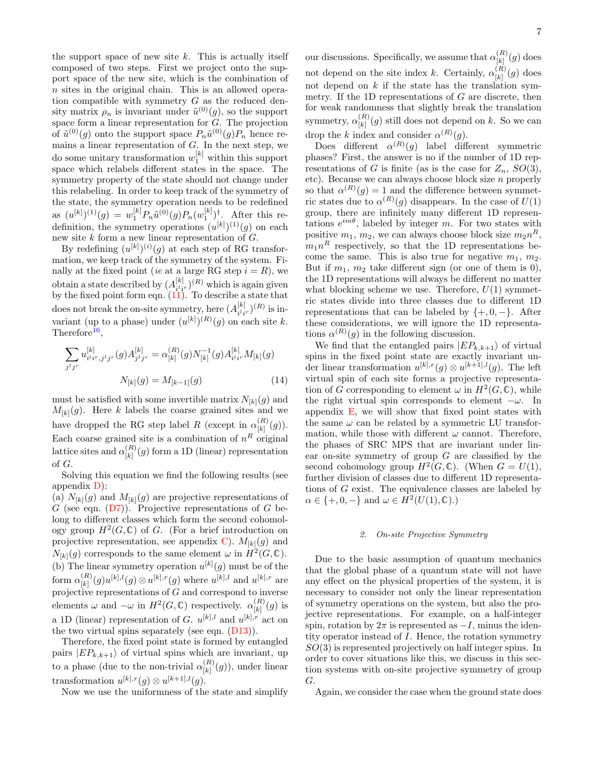the support space of new site  $k$ . This is actually itself composed of two steps. First we project onto the support space of the new site, which is the combination of n sites in the original chain. This is an allowed operation compatible with symmetry  $G$  as the reduced density matrix  $\rho_n$  is invariant under  $\tilde{u}^{(0)}(g)$ , so the support space form a linear representation for  $G$ . The projection of  $\tilde{u}^{(0)}(g)$  onto the support space  $P_n\tilde{u}^{(0)}(g)P_n$  hence remains a linear representation of  $G$ . In the next step, we do some unitary transformation  $w_1^{[k]}$  within this support space which relabels different states in the space. The symmetry property of the state should not change under this relabeling. In order to keep track of the symmetry of the state, the symmetry operation needs to be redefined as  $(u^{[k]})^{(1)}(g) = w_1^{[k]} P_n \tilde{u}^{(0)}(g) P_n(w_1^{[k]})^{\dagger}$ . After this redefinition, the symmetry operations  $(u^{[k]})^{(1)}(g)$  on each new site  $k$  form a new linear representation of  $G$ .

By redefining  $(u^{[k]})^{(i)}(g)$  at each step of RG transformation, we keep track of the symmetry of the system. Finally at the fixed point (ie at a large RG step  $i = R$ ), we obtain a state described by  $(A_{i,j}^{[k]})$  $\frac{[k]}{i^l i^r}$  (R) which is again given by the fixed point form eqn.  $(11)$ . To describe a state that does not break the on-site symmetry, here  $(A_{i,j}^{[k]})$  $\binom{[k]}{i^l i^r}$  (R) is invariant (up to a phase) under  $(u^{[k]})^{(R)}(g)$  on each site k. Therefore<sup>[16](#page-19-20)</sup>,

$$
\sum_{j^{l}j^{r}} u_{i^{l}i^{r},j^{l}j^{r}}^{[k]}(g) A_{j^{l}j^{r}}^{[k]} = \alpha_{[k]}^{(R)}(g) N_{[k]}^{-1}(g) A_{i^{l}i^{r}}^{[k]} M_{[k]}(g)
$$

$$
N_{[k]}(g) = M_{[k-1]}(g)
$$
(14)

must be satisfied with some invertible matrix  $N_{[k]}(g)$  and  $M_{[k]}(g)$ . Here k labels the coarse grained sites and we have dropped the RG step label R (except in  $\alpha_{\text{L}}^{(R)}$ )  $\binom{[n]}{[k]}(g).$ Each coarse grained site is a combination of  $n<sup>R</sup>$  original lattice sites and  $\alpha_{\text{KL}}^{(R)}$  $\binom{[R]}{[k]}(g)$  form a 1D (linear) representation of G.

Solving this equation we find the following results (see appendix [D\)](#page-15-1):

(a)  $N_{[k]}(g)$  and  $M_{[k]}(g)$  are projective representations of G (see eqn.  $(D7)$ ). Projective representations of G belong to different classes which form the second cohomology group  $H^2(G,\mathbb{C})$  of G. (For a brief introduction on projective representation, see appendix [C\)](#page-15-0).  $M_{[k]}(g)$  and  $N_{[k]}(g)$  corresponds to the same element  $\omega$  in  $\dot{H}^2(G,\mathbb{C})$ . (b) The linear symmetry operation  $u^{[k]}(g)$  must be of the form  $\alpha_{\{\mathbf{k}\}}^{(R)}$  $\binom{[k]}{[k]}(g)u^{[k],l}(g) \otimes u^{[k],r}(g)$  where  $u^{[k],l}$  and  $u^{[k],r}$  are projective representations of  $G$  and correspond to inverse elements  $\omega$  and  $-\omega$  in  $H^2(G,\mathbb{C})$  respectively.  $\alpha_{\text{\tiny{[L]}}}^{(R)}$  $\binom{\lfloor h\rfloor}{\lfloor k\rfloor}(g)$  is a 1D (linear) representation of G.  $u^{[k],l}$  and  $u^{[k],r}$  act on the two virtual spins separately (see eqn. [\(D13\)](#page-16-1)).

Therefore, the fixed point state is formed by entangled pairs  $|EP_{k,k+1}\rangle$  of virtual spins which are invariant, up to a phase (due to the non-trivial  $\alpha_{\text{\tiny{[L]}}}^{(R)}$  $\binom{R}{k}(g)$ , under linear transformation  $u^{[k],r}(g) \otimes u^{[k+1],l}(g)$ .

Now we use the uniformness of the state and simplify

our discussions. Specifically, we assume that  $\alpha_{\scriptscriptstyle [L]}^{(R)}$  $\binom{[R]}{[k]}(g)$  does not depend on the site index k. Certainly,  $\alpha_{\text{\tiny{[L]}}}^{(R)}$  $\binom{[R]}{[k]}(g)$  does not depend on  $k$  if the state has the translation symmetry. If the 1D representations of  $G$  are discrete, then for weak randomness that slightly break the translation symmetry,  $\alpha_{\text{\tiny{[L]}}}^{(R)}$  $\binom{K}{k}(g)$  still does not depend on k. So we can drop the k index and consider  $\alpha^{(R)}(g)$ .

Does different  $\alpha^{(R)}(g)$  label different symmetric phases? First, the answer is no if the number of 1D representations of G is finite (as is the case for  $Z_n$ ,  $SO(3)$ , etc). Because we can always choose block size n properly so that  $\alpha^{(R)}(g) = 1$  and the difference between symmetric states due to  $\alpha^{(R)}(g)$  disappears. In the case of  $U(1)$ group, there are infinitely many different 1D representations  $e^{im\theta}$ , labeled by integer m. For two states with positive  $m_1, m_2$ , we can always choose block size  $m_2 n^R$ ,  $m_1n^R$  respectively, so that the 1D representations become the same. This is also true for negative  $m_1, m_2$ . But if  $m_1$ ,  $m_2$  take different sign (or one of them is 0), the 1D representations will always be different no matter what blocking scheme we use. Therefore,  $U(1)$  symmetric states divide into three classes due to different 1D representations that can be labeled by  $\{+,0,-\}.$  After these considerations, we will ignore the 1D representations  $\alpha^{(R)}(g)$  in the following discussion.

<span id="page-6-1"></span>We find that the entangled pairs  $|EP_{k,k+1}\rangle$  of virtual spins in the fixed point state are exactly invariant under linear transformation  $u^{[k],r}(g) \otimes u^{[k+1],l}(g)$ . The left virtual spin of each site forms a projective representation of G corresponding to element  $\omega$  in  $H^2(G,\mathbb{C})$ , while the right virtual spin corresponds to element  $-\omega$ . In appendix [E,](#page-16-2) we will show that fixed point states with the same  $\omega$  can be related by a symmetric LU transformation, while those with different  $\omega$  cannot. Therefore, the phases of SRC MPS that are invariant under linear on-site symmetry of group  $G$  are classified by the second cohomology group  $H^2(G,\mathbb{C})$ . (When  $G=U(1)$ , further division of classes due to different 1D representations of G exist. The equivalence classes are labeled by  $\alpha \in \{+,0,-\}$  and  $\omega \in H^2(U(1),\mathbb{C})$ .

### <span id="page-6-0"></span>2. On-site Projective Symmetry

Due to the basic assumption of quantum mechanics that the global phase of a quantum state will not have any effect on the physical properties of the system, it is necessary to consider not only the linear representation of symmetry operations on the system, but also the projective representations. For example, on a half-integer spin, rotation by  $2\pi$  is represented as  $-I$ , minus the identity operator instead of I. Hence, the rotation symmetry  $SO(3)$  is represented projectively on half integer spins. In order to cover situations like this, we discuss in this section systems with on-site projective symmetry of group G.

Again, we consider the case when the ground state does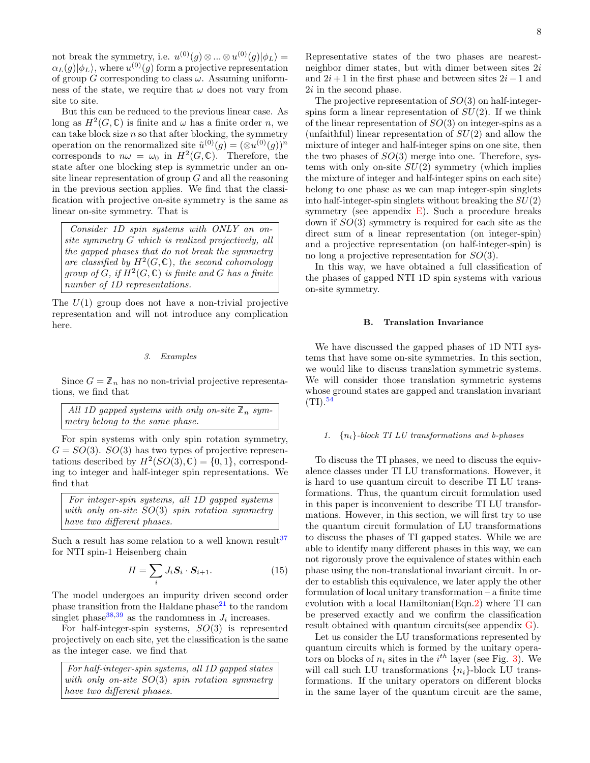not break the symmetry, i.e.  $u^{(0)}(g) \otimes ... \otimes u^{(0)}(g)|\phi_L\rangle =$  $\alpha_L(g)|\phi_L\rangle,$  where  $u^{(0)}(g)$  form a projective representation of group G corresponding to class  $\omega$ . Assuming uniformness of the state, we require that  $\omega$  does not vary from site to site.

But this can be reduced to the previous linear case. As long as  $H^2(G,\mathbb{C})$  is finite and  $\omega$  has a finite order n, we can take block size  $n$  so that after blocking, the symmetry operation on the renormalized site  $\tilde{u}^{(0)}(g) = (\otimes u^{(0)}(g))^n$ corresponds to  $n\omega = \omega_0$  in  $H^2(G, \mathbb{C})$ . Therefore, the state after one blocking step is symmetric under an onsite linear representation of group  $G$  and all the reasoning in the previous section applies. We find that the classification with projective on-site symmetry is the same as linear on-site symmetry. That is

Consider 1D spin systems with ONLY an onsite symmetry G which is realized projectively, all the gapped phases that do not break the symmetry are classified by  $H^2(G, \mathbb{C})$ , the second cohomology group of  $G$ , if  $H^2(G,\mathbb{C})$  is finite and G has a finite number of 1D representations.

The  $U(1)$  group does not have a non-trivial projective representation and will not introduce any complication here.

#### 3. Examples

Since  $G = \mathbb{Z}_n$  has no non-trivial projective representations, we find that

All 1D gapped systems with only on-site 
$$
\mathbb{Z}_n
$$
 symmetry belong to the same phase.

For spin systems with only spin rotation symmetry,  $G = SO(3)$ .  $SO(3)$  has two types of projective representations described by  $H^2(SO(3), \mathbb{C}) = \{0, 1\}$ , corresponding to integer and half-integer spin representations. We find that

For integer-spin systems, all 1D gapped systems with only on-site SO(3) spin rotation symmetry have two different phases.

Such a result has some relation to a well known result  $37$ for NTI spin-1 Heisenberg chain

$$
H = \sum_{i} J_i \mathbf{S}_i \cdot \mathbf{S}_{i+1}.
$$
 (15)

The model undergoes an impurity driven second order phase transition from the Haldane phase $21$  to the random singlet phase<sup>[38](#page-20-19)[,39](#page-20-20)</sup> as the randomness in  $J_i$  increases.

For half-integer-spin systems,  $SO(3)$  is represented projectively on each site, yet the classification is the same as the integer case. we find that

For half-integer-spin systems, all 1D gapped states with only on-site  $SO(3)$  spin rotation symmetry have two different phases.

Representative states of the two phases are nearestneighbor dimer states, but with dimer between sites  $2i$ and  $2i + 1$  in the first phase and between sites  $2i - 1$  and 2i in the second phase.

The projective representation of  $SO(3)$  on half-integerspins form a linear representation of  $SU(2)$ . If we think of the linear representation of  $SO(3)$  on integer-spins as a (unfaithful) linear representation of  $SU(2)$  and allow the mixture of integer and half-integer spins on one site, then the two phases of  $SO(3)$  merge into one. Therefore, systems with only on-site  $SU(2)$  symmetry (which implies the mixture of integer and half-integer spins on each site) belong to one phase as we can map integer-spin singlets into half-integer-spin singlets without breaking the  $SU(2)$ symmetry (see appendix  $E$ ). Such a procedure breaks down if SO(3) symmetry is required for each site as the direct sum of a linear representation (on integer-spin) and a projective representation (on half-integer-spin) is no long a projective representation for SO(3).

In this way, we have obtained a full classification of the phases of gapped NTI 1D spin systems with various on-site symmetry.

#### B. Translation Invariance

We have discussed the gapped phases of 1D NTI systems that have some on-site symmetries. In this section, we would like to discuss translation symmetric systems. We will consider those translation symmetric systems whose ground states are gapped and translation invariant  $(TI).<sup>54</sup>$  $(TI).<sup>54</sup>$  $(TI).<sup>54</sup>$ 

#### 1.  $\{n_i\}$ -block TI LU transformations and b-phases

To discuss the TI phases, we need to discuss the equivalence classes under TI LU transformations. However, it is hard to use quantum circuit to describe TI LU transformations. Thus, the quantum circuit formulation used in this paper is inconvenient to describe TI LU transformations. However, in this section, we will first try to use the quantum circuit formulation of LU transformations to discuss the phases of TI gapped states. While we are able to identify many different phases in this way, we can not rigorously prove the equivalence of states within each phase using the non-translational invariant circuit. In order to establish this equivalence, we later apply the other formulation of local unitary transformation – a finite time evolution with a local Hamiltonian(Eqn[.2\)](#page-2-2) where TI can be preserved exactly and we confirm the classification result obtained with quantum circuits(see appendix [G\)](#page-18-0).

Let us consider the LU transformations represented by quantum circuits which is formed by the unitary operators on blocks of  $n_i$  sites in the  $i^{th}$  layer (see Fig. [3\)](#page-8-0). We will call such LU transformations  $\{n_i\}$ -block LU transformations. If the unitary operators on different blocks in the same layer of the quantum circuit are the same,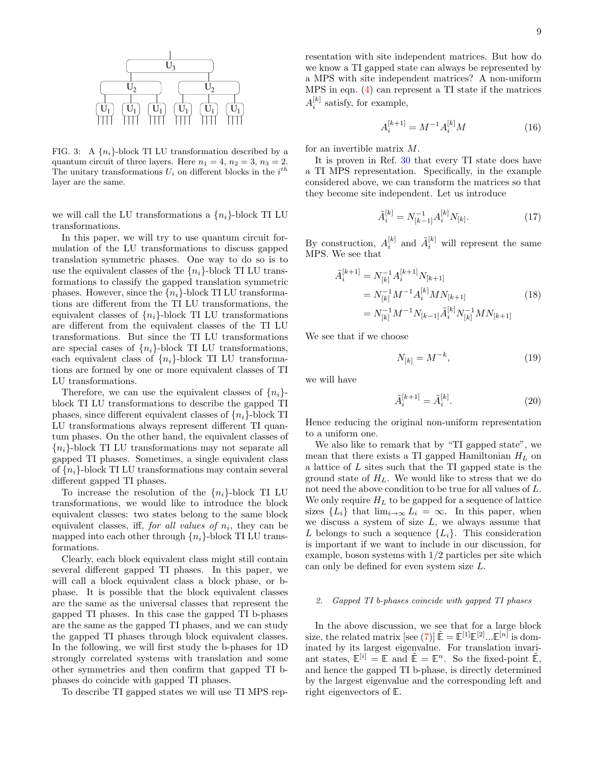

<span id="page-8-0"></span>FIG. 3: A  $\{n_i\}$ -block TI LU transformation described by a quantum circuit of three layers. Here  $n_1 = 4$ ,  $n_2 = 3$ ,  $n_3 = 2$ . The unitary transformations  $U_i$  on different blocks in the  $i^{th}$ layer are the same.

we will call the LU transformations a  $\{n_i\}$ -block TI LU transformations.

In this paper, we will try to use quantum circuit formulation of the LU transformations to discuss gapped translation symmetric phases. One way to do so is to use the equivalent classes of the  $\{n_i\}$ -block TI LU transformations to classify the gapped translation symmetric phases. However, since the  $\{n_i\}$ -block TI LU transformations are different from the TI LU transformations, the equivalent classes of  $\{n_i\}$ -block TI LU transformations are different from the equivalent classes of the TI LU transformations. But since the TI LU transformations are special cases of  $\{n_i\}$ -block TI LU transformations, each equivalent class of  $\{n_i\}$ -block TI LU transformations are formed by one or more equivalent classes of TI LU transformations.

Therefore, we can use the equivalent classes of  $\{n_i\}$ block TI LU transformations to describe the gapped TI phases, since different equivalent classes of  ${n_i}$ -block TI LU transformations always represent different TI quantum phases. On the other hand, the equivalent classes of  ${n_i}$ -block TI LU transformations may not separate all gapped TI phases. Sometimes, a single equivalent class of  $\{n_i\}$ -block TI LU transformations may contain several different gapped TI phases.

To increase the resolution of the  $\{n_i\}$ -block TI LU transformations, we would like to introduce the block equivalent classes: two states belong to the same block equivalent classes, iff, *for all values of*  $n_i$ , they can be mapped into each other through  $\{n_i\}$ -block TI LU transformations.

Clearly, each block equivalent class might still contain several different gapped TI phases. In this paper, we will call a block equivalent class a block phase, or bphase. It is possible that the block equivalent classes are the same as the universal classes that represent the gapped TI phases. In this case the gapped TI b-phases are the same as the gapped TI phases, and we can study the gapped TI phases through block equivalent classes. In the following, we will first study the b-phases for 1D strongly correlated systems with translation and some other symmetries and then confirm that gapped TI bphases do coincide with gapped TI phases.

To describe TI gapped states we will use TI MPS rep-

resentation with site independent matrices. But how do we know a TI gapped state can always be represented by a MPS with site independent matrices? A non-uniform MPS in eqn. [\(4\)](#page-3-0) can represent a TI state if the matrices  $A_i^{[k]}$  satisfy, for example,

$$
A_i^{[k+1]} = M^{-1} A_i^{[k]} M \tag{16}
$$

for an invertible matrix M.

It is proven in Ref. [30](#page-20-9) that every TI state does have a TI MPS representation. Specifically, in the example considered above, we can transform the matrices so that they become site independent. Let us introduce

$$
\tilde{A}_i^{[k]} = N_{[k-1]}^{-1} A_i^{[k]} N_{[k]}.
$$
\n(17)

By construction,  $A_i^{[k]}$  and  $\tilde{A}_i^{[k]}$  will represent the same MPS. We see that

$$
\tilde{A}_{i}^{[k+1]} = N_{[k]}^{-1} A_{i}^{[k+1]} N_{[k+1]} \n= N_{[k]}^{-1} M^{-1} A_{i}^{[k]} M N_{[k+1]} \n= N_{[k]}^{-1} M^{-1} N_{[k-1]} \tilde{A}_{i}^{[k]} N_{[k]}^{-1} M N_{[k+1]} \n\tag{18}
$$

We see that if we choose

$$
N_{[k]} = M^{-k},\tag{19}
$$

we will have

$$
\tilde{A}_i^{[k+1]} = \tilde{A}_i^{[k]}.
$$
\n(20)

Hence reducing the original non-uniform representation to a uniform one.

We also like to remark that by "TI gapped state", we mean that there exists a TI gapped Hamiltonian  $H_L$  on a lattice of L sites such that the TI gapped state is the ground state of  $H_L$ . We would like to stress that we do not need the above condition to be true for all values of L. We only require  $H_L$  to be gapped for a sequence of lattice sizes  ${L_i}$  that  $\lim_{i\to\infty} L_i = \infty$ . In this paper, when we discuss a system of size  $L$ , we always assume that L belongs to such a sequence  $\{L_i\}$ . This consideration is important if we want to include in our discussion, for example, boson systems with 1/2 particles per site which can only be defined for even system size L.

#### 2. Gapped TI b-phases coincide with gapped TI phases

In the above discussion, we see that for a large block size, the related matrix [see [\(7\)](#page-3-1)]  $\tilde{\mathbb{E}} = \mathbb{E}^{[1]} \mathbb{E}^{[2]} \dots \mathbb{E}^{[n]}$  is dominated by its largest eigenvalue. For translation invariant states,  $\mathbb{E}^{[i]} = \mathbb{E}$  and  $\tilde{\mathbb{E}} = \mathbb{E}^n$ . So the fixed-point  $\tilde{\mathbb{E}}$ , and hence the gapped TI b-phase, is directly determined by the largest eigenvalue and the corresponding left and right eigenvectors of E.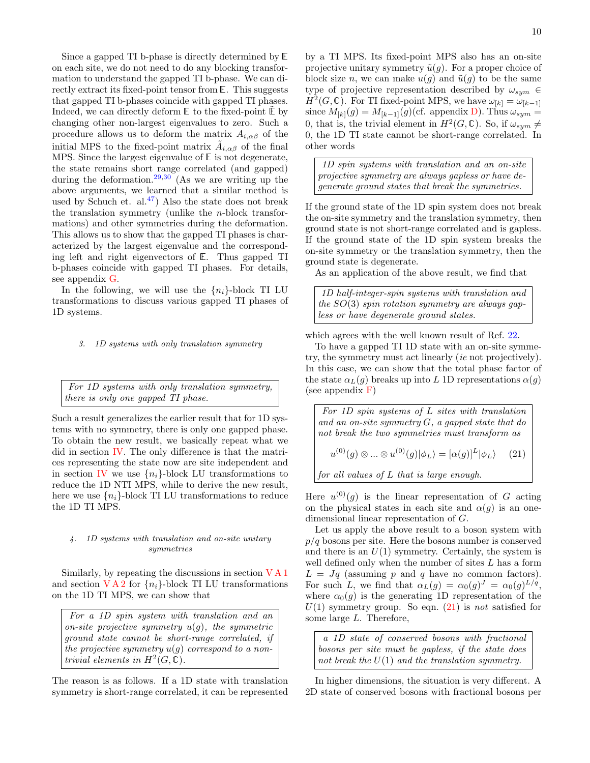Since a gapped TI b-phase is directly determined by E on each site, we do not need to do any blocking transformation to understand the gapped TI b-phase. We can directly extract its fixed-point tensor from E. This suggests that gapped TI b-phases coincide with gapped TI phases. Indeed, we can directly deform  $E$  to the fixed-point  $E$  by changing other non-largest eigenvalues to zero. Such a procedure allows us to deform the matrix  $A_{i,\alpha\beta}$  of the initial MPS to the fixed-point matrix  $\tilde{A}_{i,\alpha\beta}$  of the final MPS. Since the largest eigenvalue of E is not degenerate, the state remains short range correlated (and gapped) during the deformation.<sup>[29](#page-20-8)[,30](#page-20-9)</sup> (As we are writing up the above arguments, we learned that a similar method is used by Schuch et. al.<sup>[47](#page-20-22)</sup>) Also the state does not break the translation symmetry (unlike the n-block transformations) and other symmetries during the deformation. This allows us to show that the gapped TI phases is characterized by the largest eigenvalue and the corresponding left and right eigenvectors of E. Thus gapped TI b-phases coincide with gapped TI phases. For details, see appendix [G.](#page-18-0)

In the following, we will use the  $\{n_i\}$ -block TI LU transformations to discuss various gapped TI phases of 1D systems.

#### 3. 1D systems with only translation symmetry

For 1D systems with only translation symmetry, there is only one gapped TI phase.

Such a result generalizes the earlier result that for 1D systems with no symmetry, there is only one gapped phase. To obtain the new result, we basically repeat what we did in section [IV.](#page-4-0) The only difference is that the matrices representing the state now are site independent and in section [IV](#page-4-0) we use  $\{n_i\}$ -block LU transformations to reduce the 1D NTI MPS, while to derive the new result, here we use  $\{n_i\}$ -block TI LU transformations to reduce the 1D TI MPS.

## 4. 1D systems with translation and on-site unitary symmetries

Similarly, by repeating the discussions in section [V A 1](#page-5-2) and section  $V A 2$  for  $\{n_i\}$ -block TI LU transformations on the 1D TI MPS, we can show that

For a 1D spin system with translation and an on-site projective symmetry  $u(g)$ , the symmetric ground state cannot be short-range correlated, if the projective symmetry  $u(q)$  correspond to a nontrivial elements in  $H^2(G,\widetilde{\mathbb{C}})$ .

The reason is as follows. If a 1D state with translation symmetry is short-range correlated, it can be represented by a TI MPS. Its fixed-point MPS also has an on-site projective unitary symmetry  $\tilde{u}(g)$ . For a proper choice of block size n, we can make  $u(q)$  and  $\tilde{u}(q)$  to be the same type of projective representation described by  $\omega_{sym} \in$  $H^2(G,\mathbb{C})$ . For TI fixed-point MPS, we have  $\omega_{[k]} = \omega_{[k-1]}$ since  $M_{[k]}(g) = M_{[k-1]}(g)$  (cf. appendix [D\)](#page-15-1). Thus  $\omega_{sym} =$ 0, that is, the trivial element in  $H^2(G,\mathbb{C})$ . So, if  $\omega_{sym} \neq$ 0, the 1D TI state cannot be short-range correlated. In other words

1D spin systems with translation and an on-site projective symmetry are always gapless or have degenerate ground states that break the symmetries.

If the ground state of the 1D spin system does not break the on-site symmetry and the translation symmetry, then ground state is not short-range correlated and is gapless. If the ground state of the 1D spin system breaks the on-site symmetry or the translation symmetry, then the ground state is degenerate.

As an application of the above result, we find that

1D half-integer-spin systems with translation and the  $SO(3)$  spin rotation symmetry are always gapless or have degenerate ground states.

which agrees with the well known result of Ref. [22.](#page-20-0)

To have a gapped TI 1D state with an on-site symmetry, the symmetry must act linearly (ie not projectively). In this case, we can show that the total phase factor of the state  $\alpha_L(g)$  breaks up into L 1D representations  $\alpha(g)$ (see appendix  $\bf{F}$ )

<span id="page-9-0"></span>For 1D spin systems of L sites with translation and an on-site symmetry  $G$ , a gapped state that do not break the two symmetries must transform as  $u^{(0)}(g) \otimes ... \otimes u^{(0)}(g)|\phi_L\rangle = [\alpha(g)]^L |\phi_L\rangle$  (21) for all values of L that is large enough.

Here  $u^{(0)}(g)$  is the linear representation of G acting on the physical states in each site and  $\alpha(g)$  is an onedimensional linear representation of G.

Let us apply the above result to a boson system with  $p/q$  bosons per site. Here the bosons number is conserved and there is an  $U(1)$  symmetry. Certainly, the system is well defined only when the number of sites  $L$  has a form  $L = Jq$  (assuming p and q have no common factors). For such L, we find that  $\alpha_L(g) = \alpha_0(g)^J = \alpha_0(g)^{L/q}$ , where  $\alpha_0(g)$  is the generating 1D representation of the  $U(1)$  symmetry group. So eqn.  $(21)$  is not satisfied for some large L. Therefore,

a 1D state of conserved bosons with fractional bosons per site must be gapless, if the state does not break the  $U(1)$  and the translation symmetry.

In higher dimensions, the situation is very different. A 2D state of conserved bosons with fractional bosons per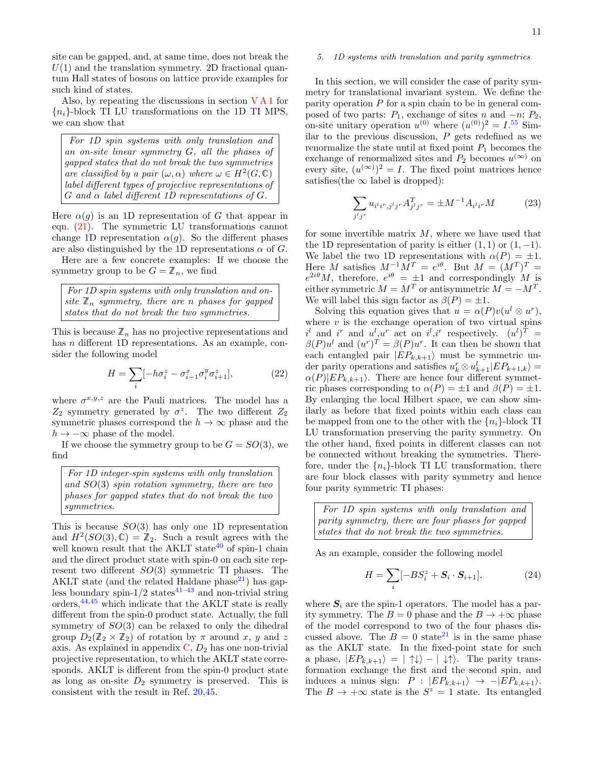site can be gapped, and, at same time, does not break the  $U(1)$  and the translation symmetry. 2D fractional quantum Hall states of bosons on lattice provide examples for such kind of states.

Also, by repeating the discussions in section  $VA1$  for  ${n_i}$ -block TI LU transformations on the 1D TI MPS, we can show that

For 1D spin systems with only translation and an on-site linear symmetry G, all the phases of gapped states that do not break the two symmetries are classified by a pair  $(\omega, \alpha)$  where  $\omega \in H^2(G, \mathbb{C})$ label different types of projective representations of  $G$  and  $\alpha$  label different 1D representations of  $G$ .

Here  $\alpha(q)$  is an 1D representation of G that appear in eqn. [\(21\)](#page-9-0). The symmetric LU transformations cannot change 1D representation  $\alpha(q)$ . So the different phases are also distinguished by the 1D representations  $\alpha$  of G.

Here are a few concrete examples: If we choose the symmetry group to be  $G = \mathbb{Z}_n$ , we find

For 1D spin systems with only translation and onsite  $\mathbb{Z}_n$  symmetry, there are n phases for gapped states that do not break the two symmetries.

This is because  $\mathbb{Z}_n$  has no projective representations and has n different 1D representations. As an example, consider the following model

$$
H = \sum_{i} \left[ -h\sigma_i^z - \sigma_{i-1}^x \sigma_i^y \sigma_{i+1}^z \right],\tag{22}
$$

where  $\sigma^{x,y,z}$  are the Pauli matrices. The model has a  $Z_2$  symmetry generated by  $\sigma^z$ . The two different  $Z_2$ symmetric phases correspond the  $h \to \infty$  phase and the  $h \to -\infty$  phase of the model.

If we choose the symmetry group to be  $G = SO(3)$ , we find

For 1D integer-spin systems with only translation and SO(3) spin rotation symmetry, there are two phases for gapped states that do not break the two symmetries.

This is because  $SO(3)$  has only one 1D representation and  $H^2(SO(3), \mathbb{C}) = \mathbb{Z}_2$ . Such a result agrees with the well known result that the AKLT state<sup>[40](#page-20-23)</sup> of spin-1 chain and the direct product state with spin-0 on each site represent two different  $SO(3)$  symmetric TI phases. The AKLT state (and the related Haldane phase $^{21}$  $^{21}$  $^{21}$ ) has gapless boundary spin- $1/2$  states<sup>[41–](#page-20-24)[43](#page-20-25)</sup> and non-trivial string orders, $44,45$  $44,45$  which indicate that the AKLT state is really different from the spin-0 product state. Actually, the full symmetry of  $SO(3)$  can be relaxed to only the dihedral group  $D_2(\mathbb{Z}_2 \times \mathbb{Z}_2)$  of rotation by  $\pi$  around x, y and z axis. As explained in appendix  $C, D_2$  $C, D_2$  has one non-trivial projective representation, to which the AKLT state corresponds. AKLT is different from the spin-0 product state as long as on-site  $D_2$  symmetry is preserved. This is consistent with the result in Ref. [20](#page-19-17)[,45.](#page-20-27)

## 5. 1D systems with translation and parity symmetries

In this section, we will consider the case of parity symmetry for translational invariant system. We define the parity operation  $P$  for a spin chain to be in general composed of two parts:  $P_1$ , exchange of sites n and  $-n$ ;  $P_2$ , on-site unitary operation  $u^{(0)}$  where  $(u^{(0)})^2 = I^{55}$  $(u^{(0)})^2 = I^{55}$  $(u^{(0)})^2 = I^{55}$  Similar to the previous discussion,  $P$  gets redefined as we renormalize the state until at fixed point  $P_1$  becomes the exchange of renormalized sites and  $P_2$  becomes  $u^{(\infty)}$  on every site,  $(u^{(\infty)})^2 = I$ . The fixed point matrices hence satisfies(the  $\infty$  label is dropped):

<span id="page-10-0"></span>
$$
\sum_{j^{l}j^{r}} u_{i^{l}i^{r},j^{l}j^{r}} A_{j^{l}j^{r}}^{T} = \pm M^{-1} A_{i^{l}i^{r}} M \tag{23}
$$

for some invertible matrix  $M$ , where we have used that the 1D representation of parity is either  $(1, 1)$  or  $(1, -1)$ . We label the two 1D representations with  $\alpha(P) = \pm 1$ . Here M satisfies  $M^{-1}M^T = e^{i\theta}$ . But  $M = (M^T)^T =$  $e^{2i\theta}M$ , therefore,  $e^{i\theta} = \pm 1$  and correspondingly M is either symmetric  $M = M^T$  or antisymmetric  $M = -M^T$ . We will label this sign factor as  $\beta(P) = \pm 1$ .

Solving this equation gives that  $u = \alpha(P)v(u^l \otimes u^r)$ , where  $v$  is the exchange operation of two virtual spins  $i^l$  and  $i^r$  and  $u^l, u^r$  act on  $i^l, i^r$  respectively.  $(u^l)^T =$  $\beta(P)u^l$  and  $(u^r)^T = \beta(P)u^r$ . It can then be shown that each entangled pair  $|EP_{k,k+1}\rangle$  must be symmetric under parity operations and satisfies  $u_k^r \otimes u_{k+1}^l | E P_{k+1,k} \rangle =$  $\alpha(P)|EP_{k,k+1}\rangle$ . There are hence four different symmetric phases corresponding to  $\alpha(P) = \pm 1$  and  $\beta(P) = \pm 1$ . By enlarging the local Hilbert space, we can show similarly as before that fixed points within each class can be mapped from one to the other with the  $\{n_i\}$ -block TI LU transformation preserving the parity symmetry. On the other hand, fixed points in different classes can not be connected without breaking the symmetries. Therefore, under the  $\{n_i\}$ -block TI LU transformation, there are four block classes with parity symmetry and hence four parity symmetric TI phases:

For 1D spin systems with only translation and parity symmetry, there are four phases for gapped states that do not break the two symmetries.

As an example, consider the following model

$$
H = \sum_{i} [-BS_i^z + \mathbf{S}_i \cdot \mathbf{S}_{i+1}], \tag{24}
$$

where  $S_i$  are the spin-1 operators. The model has a parity symmetry. The  $B = 0$  phase and the  $B \to +\infty$  phase of the model correspond to two of the four phases discussed above. The  $B = 0$  state<sup>[21](#page-19-18)</sup> is in the same phase as the AKLT state. In the fixed-point state for such a phase,  $|EP_{k,k+1}\rangle = | \uparrow \downarrow \rangle - | \downarrow \uparrow \rangle$ . The parity transformation exchange the first and the second spin, and induces a minus sign:  $P : |EP_{k,k+1}\rangle \rightarrow -|EP_{k,k+1}\rangle.$ The  $B \to +\infty$  state is the  $S^z = 1$  state. Its entangled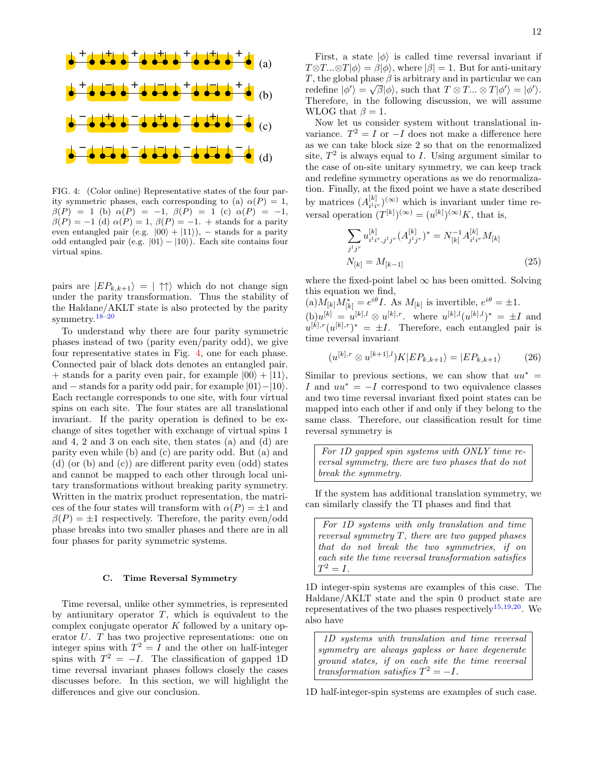

<span id="page-11-0"></span>FIG. 4: (Color online) Representative states of the four parity symmetric phases, each corresponding to (a)  $\alpha(P) = 1$ ,  $\beta(P) = 1$  (b)  $\alpha(P) = -1$ ,  $\beta(P) = 1$  (c)  $\alpha(P) = -1$ ,  $\beta(P) = -1$  (d)  $\alpha(P) = 1$ ,  $\beta(P) = -1$ . + stands for a parity even entangled pair (e.g.  $|00\rangle + |11\rangle$ ), – stands for a parity odd entangled pair (e.g.  $|01\rangle - |10\rangle$ ). Each site contains four virtual spins.

pairs are  $|EP_{k,k+1}\rangle = | \uparrow \uparrow \rangle$  which do not change sign under the parity transformation. Thus the stability of the Haldane/AKLT state is also protected by the parity symmetry.[18](#page-19-16)[–20](#page-19-17)

To understand why there are four parity symmetric phases instead of two (parity even/parity odd), we give four representative states in Fig. [4,](#page-11-0) one for each phase. Connected pair of black dots denotes an entangled pair. + stands for a parity even pair, for example  $|00\rangle + |11\rangle$ , and – stands for a parity odd pair, for example  $|01\rangle-|10\rangle$ . Each rectangle corresponds to one site, with four virtual spins on each site. The four states are all translational invariant. If the parity operation is defined to be exchange of sites together with exchange of virtual spins 1 and 4, 2 and 3 on each site, then states (a) and (d) are parity even while (b) and (c) are parity odd. But (a) and (d) (or (b) and (c)) are different parity even (odd) states and cannot be mapped to each other through local unitary transformations without breaking parity symmetry. Written in the matrix product representation, the matrices of the four states will transform with  $\alpha(P) = \pm 1$  and  $\beta(P) = \pm 1$  respectively. Therefore, the parity even/odd phase breaks into two smaller phases and there are in all four phases for parity symmetric systems.

### C. Time Reversal Symmetry

Time reversal, unlike other symmetries, is represented by antiunitary operator  $T$ , which is equivalent to the complex conjugate operator K followed by a unitary operator U. T has two projective representations: one on integer spins with  $T^2 = I$  and the other on half-integer spins with  $T^2 = -I$ . The classification of gapped 1D time reversal invariant phases follows closely the cases discusses before. In this section, we will highlight the differences and give our conclusion.

First, a state  $|\phi\rangle$  is called time reversal invariant if  $T \otimes T...\otimes T|\phi\rangle = \beta|\phi\rangle$ , where  $|\beta| = 1$ . But for anti-unitary T, the global phase  $\beta$  is arbitrary and in particular we can redefine  $|\phi'\rangle = \sqrt{\beta} |\phi\rangle$ , such that  $T \otimes T ... \otimes T |\phi'\rangle = |\phi'\rangle$ . Therefore, in the following discussion, we will assume WLOG that  $\beta = 1$ .

Now let us consider system without translational invariance.  $T^2 = I$  or  $-I$  does not make a difference here as we can take block size 2 so that on the renormalized site,  $T^2$  is always equal to I. Using argument similar to the case of on-site unitary symmetry, we can keep track and redefine symmetry operations as we do renormalization. Finally, at the fixed point we have a state described by matrices  $(A_{i l, r}^{[k]})^{(\infty)}$  which is invariant under time reby matrices  $(A_{i'i'}')$  which is invariant under<br>versal operation  $(T^{[k]})^{(\infty)} = (u^{[k]})^{(\infty)}K$ , that is,

$$
\sum_{j^l j^r} u_{i^l i^r, j^l j^r}^{[k]} (A_{j^l j^r}^{[k]})^* = N_{[k]}^{-1} A_{i^l i^r}^{[k]} M_{[k]}
$$

$$
N_{[k]} = M_{[k-1]}
$$
(25)

where the fixed-point label  $\infty$  has been omitted. Solving this equation we find,

 $(a)M_{[k]}M_{[k]}^* = e^{i\theta}I$ . As  $M_{[k]}$  is invertible,  $e^{i\theta} = \pm 1$ .  $(b)u^{[k]} = u^{[k],l} \otimes u^{[k],r}$ , where  $u^{[k],l}(u^{[k],l})^* = \pm I$  and  $u^{[k],r}(u^{[k],r})^* = \pm I$ . Therefore, each entangled pair is time reversal invariant

$$
(u^{[k],r} \otimes u^{[k+1],l})K|EP_{k,k+1}\rangle = |EP_{k,k+1}\rangle \tag{26}
$$

Similar to previous sections, we can show that  $uu^* =$ I and  $uu^* = -I$  correspond to two equivalence classes and two time reversal invariant fixed point states can be mapped into each other if and only if they belong to the same class. Therefore, our classification result for time reversal symmetry is

For 1D gapped spin systems with ONLY time reversal symmetry, there are two phases that do not break the symmetry.

If the system has additional translation symmetry, we can similarly classify the TI phases and find that

For 1D systems with only translation and time reversal symmetry  $T$ , there are two gapped phases that do not break the two symmetries, if on each site the time reversal transformation satisfies  $T^2 = I$ .

1D integer-spin systems are examples of this case. The Haldane/AKLT state and the spin 0 product state are representatives of the two phases respectively<sup>[15,](#page-19-14)[19,](#page-19-19)[20](#page-19-17)</sup>. We also have

1D systems with translation and time reversal symmetry are always gapless or have degenerate ground states, if on each site the time reversal transformation satisfies  $T^2 = -I$ .

1D half-integer-spin systems are examples of such case.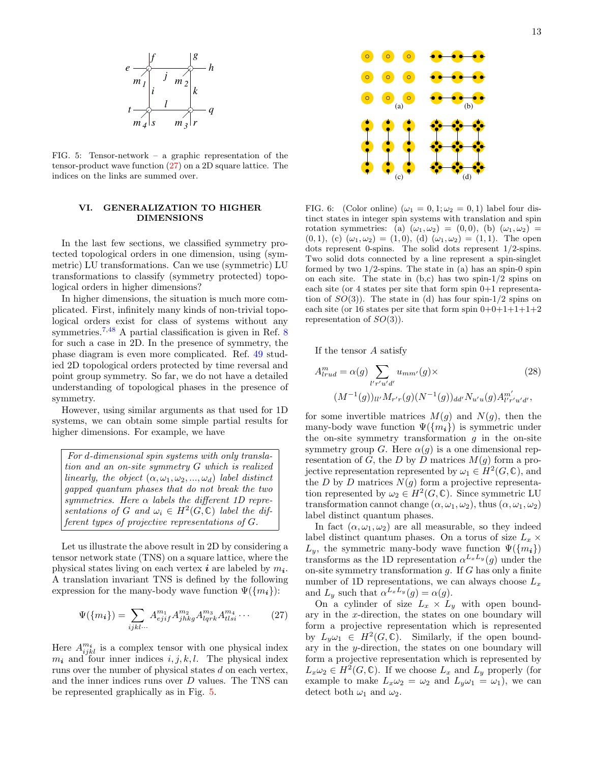

<span id="page-12-2"></span>FIG. 5: Tensor-network – a graphic representation of the tensor-product wave function [\(27\)](#page-12-1) on a 2D square lattice. The indices on the links are summed over.

## <span id="page-12-0"></span>VI. GENERALIZATION TO HIGHER DIMENSIONS

In the last few sections, we classified symmetry protected topological orders in one dimension, using (symmetric) LU transformations. Can we use (symmetric) LU transformations to classify (symmetry protected) topological orders in higher dimensions?

In higher dimensions, the situation is much more complicated. First, infinitely many kinds of non-trivial topological orders exist for class of systems without any symmetries.<sup>[7,](#page-19-6)[48](#page-20-29)</sup> A partial classification is given in Ref. [8](#page-19-7) for such a case in 2D. In the presence of symmetry, the phase diagram is even more complicated. Ref. [49](#page-20-30) studied 2D topological orders protected by time reversal and point group symmetry. So far, we do not have a detailed understanding of topological phases in the presence of symmetry.

However, using similar arguments as that used for 1D systems, we can obtain some simple partial results for higher dimensions. For example, we have

For d-dimensional spin systems with only translation and an on-site symmetry G which is realized linearly, the object  $(\alpha, \omega_1, \omega_2, ..., \omega_d)$  label distinct gapped quantum phases that do not break the two symmetries. Here  $\alpha$  labels the different 1D representations of G and  $\omega_i \in H^2(G,\mathbb{C})$  label the different types of projective representations of G.

Let us illustrate the above result in 2D by considering a tensor network state (TNS) on a square lattice, where the physical states living on each vertex  $i$  are labeled by  $m_i$ . A translation invariant TNS is defined by the following expression for the many-body wave function  $\Psi({m_i})$ :

<span id="page-12-1"></span>
$$
\Psi(\{m_i\}) = \sum_{ijkl\cdots} A^{m_1}_{ejif} A^{m_2}_{jhkg} A^{m_3}_{lqrk} A^{m_4}_{tlsi} \cdots
$$
 (27)

Here  $A^{m_i}_{ijkl}$  is a complex tensor with one physical index  $m_i$  and four inner indices  $i, j, k, l$ . The physical index runs over the number of physical states d on each vertex, and the inner indices runs over D values. The TNS can be represented graphically as in Fig. [5.](#page-12-2)



<span id="page-12-3"></span>FIG. 6: (Color online) ( $\omega_1 = 0, 1; \omega_2 = 0, 1$ ) label four distinct states in integer spin systems with translation and spin rotation symmetries: (a)  $(\omega_1, \omega_2) = (0, 0)$ , (b)  $(\omega_1, \omega_2) =$  $(0, 1), (c)$   $(\omega_1, \omega_2) = (1, 0), (d)$   $(\omega_1, \omega_2) = (1, 1).$  The open dots represent 0-spins. The solid dots represent 1/2-spins. Two solid dots connected by a line represent a spin-singlet formed by two  $1/2$ -spins. The state in (a) has an spin-0 spin on each site. The state in  $(b,c)$  has two spin- $1/2$  spins on each site (or 4 states per site that form spin 0+1 representation of  $SO(3)$ . The state in (d) has four spin-1/2 spins on each site (or 16 states per site that form spin  $0+0+1+1+1+2$ representation of  $SO(3)$ ).

If the tensor A satisfy

$$
A_{lrud}^{m} = \alpha(g) \sum_{l'r'u'd'} u_{mm'}(g) \times
$$
\n
$$
(M^{-1}(g))_{ll'} M_{r'r}(g) (N^{-1}(g))_{dd'} N_{u'u}(g) A_{l'r'u'd'}^{m'},
$$
\n(28)

for some invertible matrices  $M(g)$  and  $N(g)$ , then the many-body wave function  $\Psi({m_i})$  is symmetric under the on-site symmetry transformation  $g$  in the on-site symmetry group G. Here  $\alpha(g)$  is a one dimensional representation of G, the D by D matrices  $M(q)$  form a projective representation represented by  $\omega_1 \in H^2(G, \mathbb{C})$ , and the D by D matrices  $N(g)$  form a projective representation represented by  $\omega_2 \in H^2(G, \mathbb{C})$ . Since symmetric LU transformation cannot change  $(\alpha, \omega_1, \omega_2)$ , thus  $(\alpha, \omega_1, \omega_2)$ label distinct quantum phases.

In fact  $(\alpha, \omega_1, \omega_2)$  are all measurable, so they indeed label distinct quantum phases. On a torus of size  $L_x \times$  $L_y$ , the symmetric many-body wave function  $\Psi({m_i})$ transforms as the 1D representation  $\alpha^{L_xL_y}(g)$  under the on-site symmetry transformation  $g$ . If  $G$  has only a finite number of 1D representations, we can always choose  $L_x$ and  $L_y$  such that  $\alpha^{L_x L_y}(g) = \alpha(g)$ .

On a cylinder of size  $L_x \times L_y$  with open boundary in the x-direction, the states on one boundary will form a projective representation which is represented by  $L_y \omega_1 \in H^2(G, \mathbb{C})$ . Similarly, if the open boundary in the y-direction, the states on one boundary will form a projective representation which is represented by  $L_x \omega_2 \in H^2(G, \mathbb{C})$ . If we choose  $L_x$  and  $L_y$  properly (for example to make  $L_x \omega_2 = \omega_2$  and  $L_y \omega_1 = \omega_1$ , we can detect both  $\omega_1$  and  $\omega_2$ .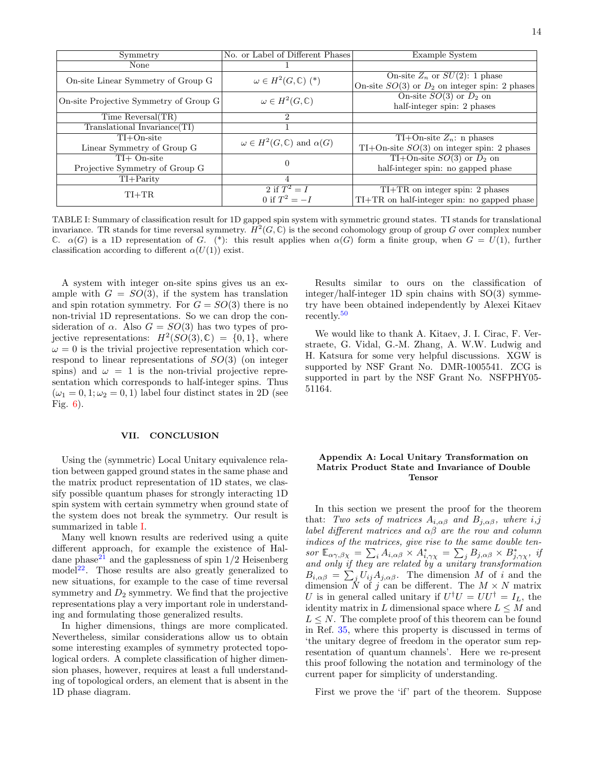| Symmetry                               | No. or Label of Different Phases                | Example System                                     |
|----------------------------------------|-------------------------------------------------|----------------------------------------------------|
| None                                   |                                                 |                                                    |
| On-site Linear Symmetry of Group G     | $\omega \in H^2(G,\mathbb{C})$ (*)              | On-site $Z_n$ or $SU(2)$ : 1 phase                 |
|                                        |                                                 | On-site $SO(3)$ or $D_2$ on integer spin: 2 phases |
| On-site Projective Symmetry of Group G | $\omega \in H^2(G,\mathbb{C})$                  | On-site $SO(3)$ or $D_2$ on                        |
|                                        |                                                 | half-integer spin: 2 phases                        |
| Time Reversal(TR)                      | 2                                               |                                                    |
| Translational Invariance (TI)          |                                                 |                                                    |
| $TI+On-site$                           | $\omega \in H^2(G, \mathbb{C})$ and $\alpha(G)$ | $TI+On-site Z_n: n phases$                         |
| Linear Symmetry of Group G             |                                                 | $TI+On-site SO(3)$ on integer spin: 2 phases       |
| $TI+$ On-site                          |                                                 | TI+On-site $SO(3)$ or $D_2$ on                     |
| Projective Symmetry of Group G         | $\theta$                                        | half-integer spin: no gapped phase                 |
| $TI+Parity$                            | 4                                               |                                                    |
| $TI+TR$                                | 2 if $T^2 = I$                                  | $TI+TR$ on integer spin: 2 phases                  |
|                                        | 0 if $T^2 = -I$                                 | $TI+TR$ on half-integer spin: no gapped phase      |

<span id="page-13-2"></span>TABLE I: Summary of classification result for 1D gapped spin system with symmetric ground states. TI stands for translational invariance. TR stands for time reversal symmetry.  $H^2(G,\mathbb{C})$  is the second cohomology group of group G over complex number C.  $\alpha(G)$  is a 1D representation of G. (\*): this result applies when  $\alpha(G)$  form a finite group, when  $G = U(1)$ , further classification according to different  $\alpha(U(1))$  exist.

A system with integer on-site spins gives us an example with  $G = SO(3)$ , if the system has translation and spin rotation symmetry. For  $G = SO(3)$  there is no non-trivial 1D representations. So we can drop the consideration of  $\alpha$ . Also  $G = SO(3)$  has two types of projective representations:  $H^2(SO(3), \mathbb{C}) = \{0, 1\}$ , where  $\omega = 0$  is the trivial projective representation which correspond to linear representations of SO(3) (on integer spins) and  $\omega = 1$  is the non-trivial projective representation which corresponds to half-integer spins. Thus  $(\omega_1 = 0, 1; \omega_2 = 0, 1)$  label four distinct states in 2D (see Fig. [6\)](#page-12-3).

### <span id="page-13-0"></span>VII. CONCLUSION

Using the (symmetric) Local Unitary equivalence relation between gapped ground states in the same phase and the matrix product representation of 1D states, we classify possible quantum phases for strongly interacting 1D spin system with certain symmetry when ground state of the system does not break the symmetry. Our result is summarized in table [I.](#page-13-2)

Many well known results are rederived using a quite different approach, for example the existence of Hal-dane phase<sup>[21](#page-19-18)</sup> and the gaplessness of spin  $1/2$  Heisenberg model<sup>[22](#page-20-0)</sup>. Those results are also greatly generalized to new situations, for example to the case of time reversal symmetry and  $D_2$  symmetry. We find that the projective representations play a very important role in understanding and formulating those generalized results.

In higher dimensions, things are more complicated. Nevertheless, similar considerations allow us to obtain some interesting examples of symmetry protected topological orders. A complete classification of higher dimension phases, however, requires at least a full understanding of topological orders, an element that is absent in the 1D phase diagram.

Results similar to ours on the classification of integer/half-integer 1D spin chains with SO(3) symmetry have been obtained independently by Alexei Kitaev recently.[50](#page-20-31)

We would like to thank A. Kitaev, J. I. Cirac, F. Verstraete, G. Vidal, G.-M. Zhang, A. W.W. Ludwig and H. Katsura for some very helpful discussions. XGW is supported by NSF Grant No. DMR-1005541. ZCG is supported in part by the NSF Grant No. NSFPHY05- 51164.

### <span id="page-13-1"></span>Appendix A: Local Unitary Transformation on Matrix Product State and Invariance of Double Tensor

In this section we present the proof for the theorem that: Two sets of matrices  $A_{i,\alpha\beta}$  and  $B_{j,\alpha\beta}$ , where  $i,j$ label different matrices and  $\alpha\beta$  are the row and column indices of the matrices, give rise to the same double tensor  $\mathbb{E}_{\alpha\gamma,\beta\chi} = \sum_i A_{i,\alpha\beta} \times A_{i,\gamma\chi}^* = \sum_j B_{j,\alpha\beta} \times B_{j,\gamma\chi}^*$ , if and only if they are related by a unitary transformation  $B_{i,\alpha\beta} = \sum_j U_{ij} A_{j,\alpha\beta}$ . The dimension M of i and the dimension N of j can be different. The  $M \times N$  matrix U is in general called unitary if  $U^{\dagger}U = U U^{\dagger} = I_L$ , the identity matrix in L dimensional space where  $L \leq M$  and  $L \leq N$ . The complete proof of this theorem can be found in Ref. [35,](#page-20-14) where this property is discussed in terms of 'the unitary degree of freedom in the operator sum representation of quantum channels'. Here we re-present this proof following the notation and terminology of the current paper for simplicity of understanding.

First we prove the 'if' part of the theorem. Suppose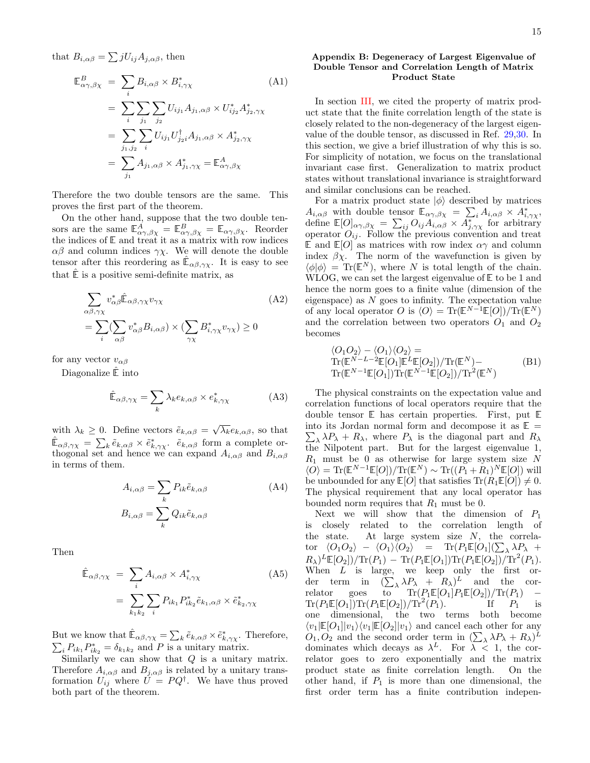that  $B_{i,\alpha\beta} = \sum j U_{ij} A_{j,\alpha\beta}$ , then

$$
\mathbb{E}^{B}_{\alpha\gamma,\beta\chi} = \sum_{i} B_{i,\alpha\beta} \times B^{*}_{i,\gamma\chi}
$$
\n(A1)  
\n
$$
= \sum_{i} \sum_{j_1} \sum_{j_2} U_{ij_1} A_{j_1,\alpha\beta} \times U^{*}_{ij_2} A^{*}_{j_2,\gamma\chi}
$$
\n
$$
= \sum_{j_1,j_2} \sum_{i} U_{ij_1} U^{^{\dagger}}_{j_2i} A_{j_1,\alpha\beta} \times A^{*}_{j_2,\gamma\chi}
$$
\n
$$
= \sum_{j_1} A_{j_1,\alpha\beta} \times A^{*}_{j_1,\gamma\chi} = \mathbb{E}^{A}_{\alpha\gamma,\beta\chi}
$$

Therefore the two double tensors are the same. This proves the first part of the theorem.

On the other hand, suppose that the two double tensors are the same  $\mathbb{E}^A_{\alpha\gamma,\beta\chi} = \mathbb{E}^B_{\alpha\gamma,\beta\chi} = \mathbb{E}_{\alpha\gamma,\beta\chi}$ . Reorder the indices of  $\mathbb E$  and treat it as a matrix with row indices  $\alpha\beta$  and column indices  $\gamma\chi$ . We will denote the double tensor after this reordering as  $\mathbb{\hat{E}}_{\alpha\beta,\gamma\chi}$ . It is easy to see that  $E$  is a positive semi-definite matrix, as

$$
\sum_{\alpha\beta,\gamma\chi} v_{\alpha\beta}^* \hat{\mathbb{E}}_{\alpha\beta,\gamma\chi} v_{\gamma\chi}
$$
\n
$$
= \sum_{i} (\sum_{\alpha\beta} v_{\alpha\beta}^* B_{i,\alpha\beta}) \times (\sum_{\gamma\chi} B_{i,\gamma\chi}^* v_{\gamma\chi}) \ge 0
$$
\n(A2)

for any vector  $v_{\alpha\beta}$ 

Diagonalize  $\hat{\mathbb{E}}$  into

$$
\hat{\mathbb{E}}_{\alpha\beta,\gamma\chi} = \sum_{k} \lambda_k e_{k,\alpha\beta} \times e_{k,\gamma\chi}^* \tag{A3}
$$

with  $\lambda_k \geq 0$ . Define vectors  $\tilde{e}_{k,\alpha\beta} = \sqrt{\lambda_k} e_{k,\alpha\beta}$ , so that  $\hat{\mathbb{E}}_{\alpha\beta,\gamma\chi} = \sum_{k} \tilde{e}_{k,\alpha\beta} \times \tilde{e}_{k,\gamma\chi}^*$ .  $\tilde{e}_{k,\alpha\beta}$  form a complete orthogonal set and hence we can expand  $A_{i,\alpha\beta}$  and  $B_{i,\alpha\beta}$ in terms of them.

$$
A_{i,\alpha\beta} = \sum_{k} P_{ik} \tilde{e}_{k,\alpha\beta}
$$
 (A4)  

$$
B_{i,\alpha\beta} = \sum_{k} Q_{ik} \tilde{e}_{k,\alpha\beta}
$$

Then

$$
\hat{\mathbb{E}}_{\alpha\beta,\gamma\chi} = \sum_{i} A_{i,\alpha\beta} \times A_{i,\gamma\chi}^* \tag{A5}
$$
\n
$$
= \sum_{k_1k_2} \sum_{i} P_{ik_1} P_{ik_2}^* \tilde{e}_{k_1,\alpha\beta} \times \tilde{e}_{k_2,\gamma\chi}^*
$$

But we know that  $\hat{\mathbb{E}}_{\alpha\beta,\gamma\chi} = \sum_{k} \tilde{e}_{k,\alpha\beta} \times \tilde{e}_{k,\gamma\chi}^*$ . Therefore,  $\sum_i P_{ik_1} P_{ik_2}^* = \delta_{k_1 k_2}$  and P is a unitary matrix.

Similarly we can show that  $Q$  is a unitary matrix. Therefore  $A_{i,\alpha\beta}$  and  $B_{j,\alpha\beta}$  is related by a unitary transformation  $U_{ij}$  where  $\tilde{U} = PQ^{\dagger}$ . We have thus proved both part of the theorem.

## <span id="page-14-0"></span>Appendix B: Degeneracy of Largest Eigenvalue of Double Tensor and Correlation Length of Matrix Product State

In section [III,](#page-2-0) we cited the property of matrix product state that the finite correlation length of the state is closely related to the non-degeneracy of the largest eigenvalue of the double tensor, as discussed in Ref. [29,](#page-20-8)[30.](#page-20-9) In this section, we give a brief illustration of why this is so. For simplicity of notation, we focus on the translational invariant case first. Generalization to matrix product states without translational invariance is straightforward and similar conclusions can be reached.

For a matrix product state  $|\phi\rangle$  described by matrices  $A_{i,\alpha\beta}$  with double tensor  $\mathbb{E}_{\alpha\gamma,\beta\chi} = \sum_i A_{i,\alpha\beta} \times A_{i,\gamma\chi}^*$ define  $\mathbb{E}[O]_{\alpha\gamma,\beta\chi} = \sum_{ij} O_{ij} A^{N,\chi}_{i,\alpha\beta} \times A^{N,\chi}_{j,\gamma\chi}$  for arbitrary operator  $O_{ij}$ . Follow the previous convention and treat E and  $E[O]$  as matrices with row index  $\alpha\gamma$  and column index  $\beta \chi$ . The norm of the wavefunction is given by  $\langle \phi | \phi \rangle = \text{Tr}(\mathbb{E}^N)$ , where N is total length of the chain. WLOG, we can set the largest eigenvalue of E to be 1 and hence the norm goes to a finite value (dimension of the eigenspace) as  $N$  goes to infinity. The expectation value of any local operator O is  $\langle O \rangle = \text{Tr}(\mathbb{E}^{N-1}\mathbb{E}[O])/\text{Tr}(\mathbb{E}^{N})$ and the correlation between two operators  $O_1$  and  $O_2$ becomes

$$
\langle O_1 O_2 \rangle - \langle O_1 \rangle \langle O_2 \rangle =
$$
  
\n
$$
\text{Tr}(\mathbb{E}^{N-L-2} \mathbb{E}[O_1] \mathbb{E}^L \mathbb{E}[O_2]) / \text{Tr}(\mathbb{E}^N) -
$$
  
\n
$$
\text{Tr}(\mathbb{E}^{N-1} \mathbb{E}[O_1]) \text{Tr}(\mathbb{E}^{N-1} \mathbb{E}[O_2]) / \text{Tr}^2(\mathbb{E}^N)
$$
\n(B1)

The physical constraints on the expectation value and correlation functions of local operators require that the double tensor E has certain properties. First, put E  $\sum_{\lambda} \lambda P_{\lambda} + R_{\lambda}$ , where  $P_{\lambda}$  is the diagonal part and  $R_{\lambda}$ into its Jordan normal form and decompose it as  $\mathbb{E}$  = the Nilpotent part. But for the largest eigenvalue 1,  $R_1$  must be 0 as otherwise for large system size N  $\langle O \rangle = \text{Tr}(\mathbb{E}^{N-1}\mathbb{E}[O])/\text{Tr}(\mathbb{E}^{N}) \sim \text{Tr}((P_{1} + R_{1})^{N}\mathbb{E}[O])$  will be unbounded for any  $\mathbb{E}[O]$  that satisfies  $\text{Tr}(R_1\mathbb{E}[O]) \neq 0$ . The physical requirement that any local operator has bounded norm requires that  $R_1$  must be 0.

Next we will show that the dimension of  $P_1$ is closely related to the correlation length of the state. At large system size  $N$ , the correla- $\text{tor} \;\; \langle O_1 O_2 \rangle \;\; - \;\; \langle O_1 \rangle \overline{\langle O_2 \rangle} \;\; = \;\; \text{Tr}(P_1 \mathbb{E}[O_1](\sum_{\lambda} \lambda P_{\lambda} \;\; +$  $R_{\lambda}$ )<sup>L</sup> $\mathbb{E}[O_2]$ )/Tr( $P_1$ ) – Tr( $P_1\mathbb{E}[O_1]$ )Tr( $P_1\mathbb{E}[O_2]$ )/Tr<sup>2</sup>( $P_1$ ). When  $L$  is large, we keep only the first order term in  $(\sum_{\lambda} \lambda P_{\lambda} + R_{\lambda})^{L}$  and the correlator goes to  $Tr(P_1 \mathbb{E}[O_1] P_1 \mathbb{E}[O_2]) / Tr(P_1)$  –  $\text{Tr}(P_1\mathbb{E}[O_1])\text{Tr}(P_1\mathbb{E}[O_2])/\text{Tr}^2(P_1).$ If  $P_1$  is one dimensional, the two terms both become  $\langle v_1|\mathbb{E}[O_1]|v_1\rangle\langle v_1|\mathbb{E}[O_2]|v_1\rangle$  and cancel each other for any  $O_1, O_2$  and the second order term in  $(\sum_{\lambda} \lambda P_{\lambda} + R_{\lambda})^L$ dominates which decays as  $\lambda^L$ . For  $\lambda < 1$ , the correlator goes to zero exponentially and the matrix product state as finite correlation length. On the other hand, if  $P_1$  is more than one dimensional, the first order term has a finite contribution indepen-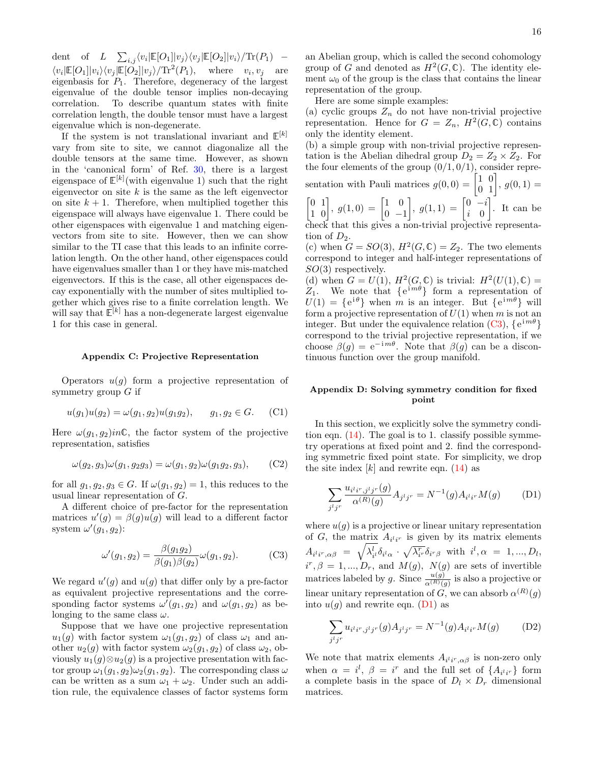dent of  $L \sum_{i,j} \langle v_i | \mathbb{E}[O_1] | v_j \rangle \langle v_j | \mathbb{E}[O_2] | v_i \rangle / \text{Tr}(P_1)$  –  $\langle v_i | \mathbb{E}[O_1] | v_i \rangle \langle v_j | \mathbb{E}[O_2] | v_j \rangle / \text{Tr}^2(P_1)$ , where  $v_i, v_j$  are eigenbasis for  $P_1$ . Therefore, degeneracy of the largest eigenvalue of the double tensor implies non-decaying correlation. To describe quantum states with finite correlation length, the double tensor must have a largest eigenvalue which is non-degenerate.

If the system is not translational invariant and  $\mathbb{E}^{[k]}$ vary from site to site, we cannot diagonalize all the double tensors at the same time. However, as shown in the 'canonical form' of Ref. [30,](#page-20-9) there is a largest eigenspace of  $\mathbb{E}^{[k]}$  (with eigenvalue 1) such that the right eigenvector on site  $k$  is the same as the left eigenvector on site  $k + 1$ . Therefore, when multiplied together this eigenspace will always have eigenvalue 1. There could be other eigenspaces with eigenvalue 1 and matching eigenvectors from site to site. However, then we can show similar to the TI case that this leads to an infinite correlation length. On the other hand, other eigenspaces could have eigenvalues smaller than 1 or they have mis-matched eigenvectors. If this is the case, all other eigenspaces decay exponentially with the number of sites multiplied together which gives rise to a finite correlation length. We will say that  $\tilde{\mathbb{E}}^{[k]}$  has a non-degenerate largest eigenvalue 1 for this case in general.

#### <span id="page-15-0"></span>Appendix C: Projective Representation

Operators  $u(g)$  form a projective representation of symmetry group  $G$  if

$$
u(g_1)u(g_2) = \omega(g_1, g_2)u(g_1g_2), \qquad g_1, g_2 \in G. \tag{C1}
$$

Here  $\omega(g_1, g_2)$ *in***C**, the factor system of the projective representation, satisfies

$$
\omega(g_2, g_3)\omega(g_1, g_2g_3) = \omega(g_1, g_2)\omega(g_1g_2, g_3), \quad (C2)
$$

for all  $g_1, g_2, g_3 \in G$ . If  $\omega(g_1, g_2) = 1$ , this reduces to the usual linear representation of G.

A different choice of pre-factor for the representation matrices  $u'(g) = \beta(g)u(g)$  will lead to a different factor system  $\omega'(g_1, g_2)$ :

$$
\omega'(g_1, g_2) = \frac{\beta(g_1 g_2)}{\beta(g_1)\beta(g_2)} \omega(g_1, g_2).
$$
 (C3)

We regard  $u'(g)$  and  $u(g)$  that differ only by a pre-factor as equivalent projective representations and the corresponding factor systems  $\omega'(g_1, g_2)$  and  $\omega(g_1, g_2)$  as belonging to the same class  $\omega$ .

Suppose that we have one projective representation  $u_1(g)$  with factor system  $\omega_1(g_1, g_2)$  of class  $\omega_1$  and another  $u_2(g)$  with factor system  $\omega_2(g_1, g_2)$  of class  $\omega_2$ , obviously  $u_1(g) \otimes u_2(g)$  is a projective presentation with factor group  $\omega_1(g_1, g_2)\omega_2(g_1, g_2)$ . The corresponding class  $\omega$ can be written as a sum  $\omega_1 + \omega_2$ . Under such an addition rule, the equivalence classes of factor systems form

an Abelian group, which is called the second cohomology group of G and denoted as  $H^2(G,\mathbb{C})$ . The identity element  $\omega_0$  of the group is the class that contains the linear representation of the group.

Here are some simple examples:

(a) cyclic groups  $Z_n$  do not have non-trivial projective representation. Hence for  $G = Z_n$ ,  $H^2(G, \mathbb{C})$  contains only the identity element.

(b) a simple group with non-trivial projective representation is the Abelian dihedral group  $D_2 = Z_2 \times Z_2$ . For the four elements of the group  $(0/1, 0/1)$ , consider representation with Pauli matrices  $g(0,0) = \begin{bmatrix} 1 & 0 \\ 0 & 1 \end{bmatrix}$ ,  $g(0,1) =$ 

 $\begin{bmatrix} 0 & 1 \\ 1 & 0 \end{bmatrix}$ ,  $g(1,0) = \begin{bmatrix} 1 & 0 \\ 0 & -1 \end{bmatrix}$  $0 -1$  $\Big\}, g(1,1) = \begin{bmatrix} 0 & -i \\ i & 0 \end{bmatrix}$ i 0 . It can be check that this gives a non-trivial projective representa-

tion of  $D_2$ .

(c) when  $G = SO(3)$ ,  $H^2(G, \mathbb{C}) = Z_2$ . The two elements correspond to integer and half-integer representations of SO(3) respectively.

(d) when  $G = U(1)$ ,  $H^2(G, \mathbb{C})$  is trivial:  $H^2(U(1), \mathbb{C}) =$  $Z_1$ . We note that  $\{e^{im\theta}\}\$  form a representation of  $U(1) = \{e^{i\theta}\}\$  when m is an integer. But  $\{e^{im\theta}\}\$  will form a projective representation of  $U(1)$  when m is not an integer. But under the equivalence relation [\(C3\)](#page-15-2),  ${e^{im\theta}}$ correspond to the trivial projective representation, if we choose  $\beta(g) = e^{-im\theta}$ . Note that  $\beta(g)$  can be a discontinuous function over the group manifold.

## <span id="page-15-1"></span>Appendix D: Solving symmetry condition for fixed point

In this section, we explicitly solve the symmetry condition eqn. [\(14\)](#page-6-1). The goal is to 1. classify possible symmetry operations at fixed point and 2. find the corresponding symmetric fixed point state. For simplicity, we drop the site index  $[k]$  and rewrite eqn. [\(14\)](#page-6-1) as

<span id="page-15-3"></span>
$$
\sum_{j^l j^r} \frac{u_{i^l i^r, j^l j^r}(g)}{\alpha^{(R)}(g)} A_{j^l j^r} = N^{-1}(g) A_{i^l i^r} M(g) \tag{D1}
$$

<span id="page-15-2"></span>where  $u(q)$  is a projective or linear unitary representation of  $G$ , the matrix  $A_{i'i'}$  is given by its matrix elements  $A_{i^l i^r, \alpha \beta} \; = \; \sqrt{\lambda_{i^l}^l} \delta_{i^l \alpha} \, \cdot \, \sqrt{\lambda_{i^r}^r} \delta_{i^r \beta} \; \text{ with } \; i^l, \alpha \; = \; 1,...,D_l,$  $i^r, \beta = 1, ..., D_r$ , and  $M(g)$ ,  $N(g)$  are sets of invertible matrices labeled by g. Since  $\frac{u(g)}{\alpha^{(R)}(g)}$  is also a projective or linear unitary representation of G, we can absorb  $\alpha^{(R)}(g)$ into  $u(g)$  and rewrite eqn. [\(D1\)](#page-15-3) as

<span id="page-15-4"></span>
$$
\sum_{j^l j^r} u_{i^l i^r, j^l j^r}(g) A_{j^l j^r} = N^{-1}(g) A_{i^l i^r} M(g) \tag{D2}
$$

We note that matrix elements  $A_{i'i',\alpha\beta}$  is non-zero only when  $\alpha = i^l$ ,  $\beta = i^r$  and the full set of  $\{A_{i^l i^r}\}\$  form a complete basis in the space of  $D_l \times D_r$  dimensional matrices.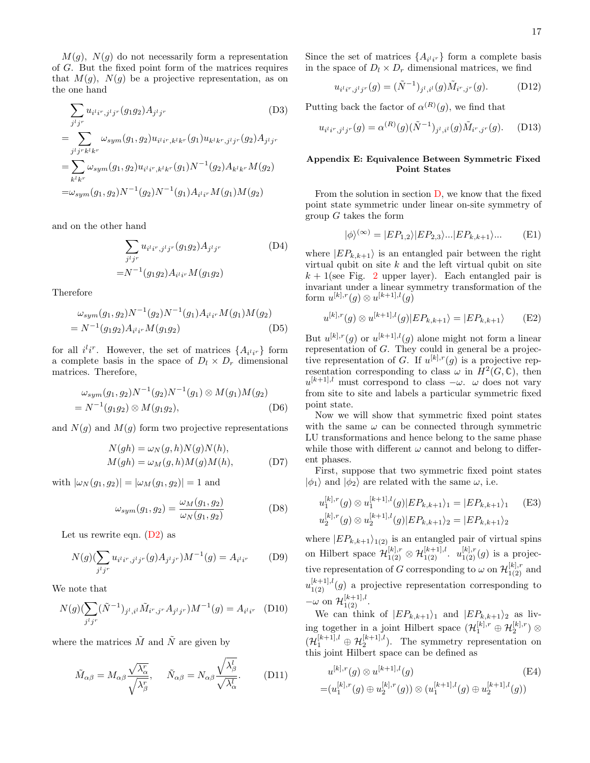$M(g)$ ,  $N(g)$  do not necessarily form a representation of G. But the fixed point form of the matrices requires that  $M(q)$ ,  $N(q)$  be a projective representation, as on the one hand

$$
\sum_{j^{i}j^{r}} u_{i^{i}i^{r},j^{i}j^{r}}(g_{1}g_{2}) A_{j^{i}j^{r}} \qquad (D3)
$$
\n
$$
= \sum_{j^{i}j^{r}k^{l}k^{r}} \omega_{sym}(g_{1},g_{2}) u_{i^{i}i^{r},k^{l}k^{r}}(g_{1}) u_{k^{l}k^{r},j^{l}j^{r}}(g_{2}) A_{j^{i}j^{r}}
$$
\n
$$
= \sum_{k^{l}k^{r}} \omega_{sym}(g_{1},g_{2}) u_{i^{i}i^{r},k^{l}k^{r}}(g_{1}) N^{-1}(g_{2}) A_{k^{l}k^{r}} M(g_{2})
$$
\n
$$
= \omega_{sym}(g_{1},g_{2}) N^{-1}(g_{2}) N^{-1}(g_{1}) A_{i^{i}i^{r}} M(g_{1}) M(g_{2})
$$

and on the other hand

$$
\sum_{j^l j^r} u_{i^l i^r, j^l j^r} (g_1 g_2) A_{j^l j^r}
$$
\n
$$
= N^{-1} (g_1 g_2) A_{i^l i^r} M(g_1 g_2)
$$
\n(D4)

Therefore

$$
\omega_{sym}(g_1, g_2)N^{-1}(g_2)N^{-1}(g_1)A_{i^l i^r}M(g_1)M(g_2)
$$
  
=  $N^{-1}(g_1g_2)A_{i^l i^r}M(g_1g_2)$  (D5)

for all  $i^l i^r$ . However, the set of matrices  $\{A_{i^l i^r}\}\;$  form a complete basis in the space of  $D_l \times D_r$  dimensional matrices. Therefore,

$$
\omega_{sym}(g_1, g_2)N^{-1}(g_2)N^{-1}(g_1) \otimes M(g_1)M(g_2)
$$
  
=  $N^{-1}(g_1g_2) \otimes M(g_1g_2)$ , (D6)

and  $N(g)$  and  $M(g)$  form two projective representations

$$
N(gh) = \omega_N(g, h)N(g)N(h),
$$
  
\n
$$
M(gh) = \omega_M(g, h)M(g)M(h),
$$
 (D7)

with  $|\omega_N(g_1, g_2)| = |\omega_M(g_1, g_2)| = 1$  and

$$
\omega_{sym}(g_1, g_2) = \frac{\omega_M(g_1, g_2)}{\omega_N(g_1, g_2)}\tag{D8}
$$

Let us rewrite eqn.  $(D2)$  as

$$
N(g)(\sum_{j^{l}j^{r}} u_{i^{l}i^{r},j^{l}j^{r}}(g)A_{j^{l}j^{r}})M^{-1}(g) = A_{i^{l}i^{r}} \qquad (D9)
$$

We note that

$$
N(g)(\sum_{j^{l}j^{r}} (\tilde{N}^{-1})_{j^{l},i^{l}} \tilde{M}_{i^{r},j^{r}} A_{j^{l}j^{r}})M^{-1}(g) = A_{i^{l}i^{r}} \quad (D10)
$$

where the matrices  $\tilde{M}$  and  $\tilde{N}$  are given by

$$
\tilde{M}_{\alpha\beta} = M_{\alpha\beta} \frac{\sqrt{\lambda_{\alpha}^r}}{\sqrt{\lambda_{\beta}^r}}, \quad \tilde{N}_{\alpha\beta} = N_{\alpha\beta} \frac{\sqrt{\lambda_{\beta}^l}}{\sqrt{\lambda_{\alpha}^l}}.
$$
 (D11)

Since the set of matrices  $\{A_{i'i'}\}$  form a complete basis in the space of  $D_l \times D_r$  dimensional matrices, we find

<span id="page-16-1"></span>
$$
u_{i'i^r,j^lj^r}(g) = (\tilde{N}^{-1})_{j^l,i^l}(g)\tilde{M}_{i^r,j^r}(g). \tag{D12}
$$

Putting back the factor of  $\alpha^{(R)}(g)$ , we find that

$$
u_{i^l i^r, j^l j^r}(g) = \alpha^{(R)}(g)(\tilde{N}^{-1})_{j^l, i^l}(g) \tilde{M}_{i^r, j^r}(g). \quad (D13)
$$

#### <span id="page-16-2"></span>Appendix E: Equivalence Between Symmetric Fixed Point States

From the solution in section [D,](#page-15-1) we know that the fixed point state symmetric under linear on-site symmetry of group  $G$  takes the form

$$
|\phi\rangle^{(\infty)} = |EP_{1,2}\rangle|EP_{2,3}\rangle...|EP_{k,k+1}\rangle... \tag{E1}
$$

where  $|EP_{k,k+1}\rangle$  is an entangled pair between the right virtual qubit on site  $k$  and the left virtual qubit on site  $k + 1$ (see Fig. [2](#page-5-1) upper layer). Each entangled pair is invariant under a linear symmetry transformation of the form  $u^{[k],r}(g) \otimes u^{[k+1],l}(g)$ 

$$
u^{[k],r}(g) \otimes u^{[k+1],l}(g)|EP_{k,k+1}\rangle = |EP_{k,k+1}\rangle \qquad (E2)
$$

But  $u^{[k],r}(g)$  or  $u^{[k+1],l}(g)$  alone might not form a linear representation of G. They could in general be a projective representation of G. If  $u^{[k],r}(g)$  is a projective representation corresponding to class  $\omega$  in  $\overline{H^2(G,\mathbb{C})}$ , then  $u^{[k+1],l}$  must correspond to class  $-\omega$ .  $\omega$  does not vary from site to site and labels a particular symmetric fixed point state.

Now we will show that symmetric fixed point states with the same  $\omega$  can be connected through symmetric LU transformations and hence belong to the same phase while those with different  $\omega$  cannot and belong to different phases.

<span id="page-16-0"></span>First, suppose that two symmetric fixed point states  $|\phi_1\rangle$  and  $|\phi_2\rangle$  are related with the same  $\omega$ , i.e.

$$
u_1^{[k],r}(g) \otimes u_1^{[k+1],l}(g)|EP_{k,k+1}\rangle_1 = |EP_{k,k+1}\rangle_1 \quad \text{(E3)}
$$
  

$$
u_2^{[k],r}(g) \otimes u_2^{[k+1],l}(g)|EP_{k,k+1}\rangle_2 = |EP_{k,k+1}\rangle_2
$$

where  $|EP_{k,k+1}\rangle_{1(2)}$  is an entangled pair of virtual spins on Hilbert space  $\mathcal{H}_{1(2)}^{[k],r} \otimes \mathcal{H}_{1(2)}^{[k+1],l}$ .  $u_{1(2)}^{[k],r}(g)$  is a projective representation of G corresponding to  $\omega$  on  $\mathcal{H}_{1(2)}^{[k],r}$  and  $u_{1(2)}^{[k+1],l}(g)$  a projective representation corresponding to  $-\omega$  on  $\mathcal{H}_{1(2)}^{[k+1],l}$ .

We can think of  $|EP_{k,k+1}\rangle_1$  and  $|EP_{k,k+1}\rangle_2$  as living together in a joint Hilbert space  $(\mathcal{H}_1^{[k],r}\oplus\mathcal{H}_2^{[k],r})\otimes$  $(\mathcal{H}_1^{[k+1],l} \oplus \mathcal{H}_2^{[k+1],l})$ . The symmetry representation on this joint Hilbert space can be defined as

$$
u^{[k],r}(g) \otimes u^{[k+1],l}(g)
$$
\n
$$
= (u_1^{[k],r}(g) \oplus u_2^{[k],r}(g)) \otimes (u_1^{[k+1],l}(g) \oplus u_2^{[k+1],l}(g))
$$
\n(E4)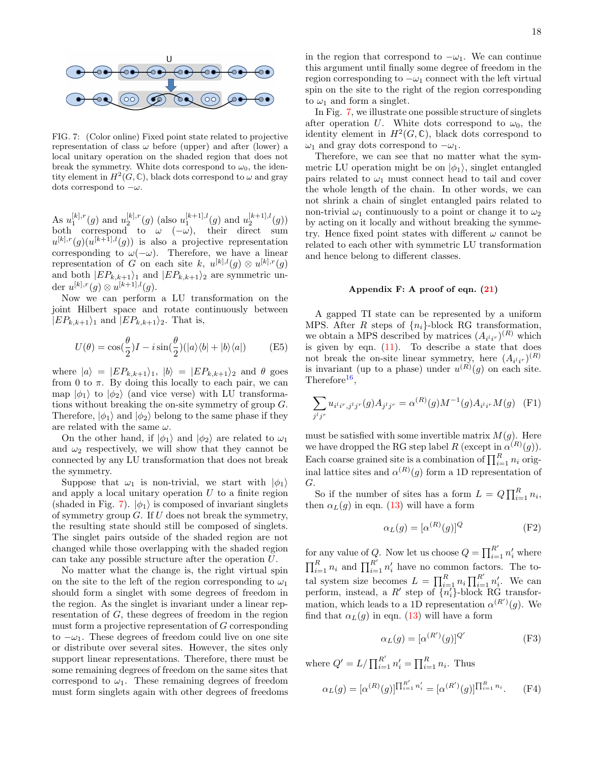

<span id="page-17-1"></span>FIG. 7: (Color online) Fixed point state related to projective representation of class  $\omega$  before (upper) and after (lower) a local unitary operation on the shaded region that does not break the symmetry. White dots correspond to  $\omega_0$ , the identity element in  $H^2(G,\mathbb{C})$ , black dots correspond to  $\omega$  and gray dots correspond to  $-\omega$ .

As  $u_1^{[k],r}(g)$  and  $u_2^{[k],r}(g)$  (also  $u_1^{[k+1],l}(g)$  and  $u_2^{[k+1],l}(g)$ ) both correspond to  $\omega$  ( $-\omega$ ), their direct sum  $u^{[k],r}(g)(u^{[k+1],l}(g))$  is also a projective representation corresponding to  $\omega(-\omega)$ . Therefore, we have a linear representation of G on each site k,  $u^{[k],l}(g) \otimes u^{[k],r}(g)$ and both  $|EP_{k,k+1}\rangle_1$  and  $|EP_{k,k+1}\rangle_2$  are symmetric under  $u^{[k],r}(g) \otimes u^{[k+1],l}(g)$ .

Now we can perform a LU transformation on the joint Hilbert space and rotate continuously between  $|EP_{k,k+1}\rangle_1$  and  $|EP_{k,k+1}\rangle_2$ . That is,

$$
U(\theta) = \cos(\frac{\theta}{2})I - i\sin(\frac{\theta}{2})(|a\rangle\langle b| + |b\rangle\langle a|)
$$
 (E5)

where  $|a\rangle = |EP_{k,k+1}\rangle_1$ ,  $|b\rangle = |EP_{k,k+1}\rangle_2$  and  $\theta$  goes from 0 to  $\pi$ . By doing this locally to each pair, we can map  $|\phi_1\rangle$  to  $|\phi_2\rangle$  (and vice verse) with LU transformations without breaking the on-site symmetry of group G. Therefore,  $|\phi_1\rangle$  and  $|\phi_2\rangle$  belong to the same phase if they are related with the same  $\omega$ .

On the other hand, if  $|\phi_1\rangle$  and  $|\phi_2\rangle$  are related to  $\omega_1$ and  $\omega_2$  respectively, we will show that they cannot be connected by any LU transformation that does not break the symmetry.

Suppose that  $\omega_1$  is non-trivial, we start with  $|\phi_1\rangle$ and apply a local unitary operation  $U$  to a finite region (shaded in Fig. [7\)](#page-17-1).  $|\phi_1\rangle$  is composed of invariant singlets of symmetry group  $G$ . If  $U$  does not break the symmetry, the resulting state should still be composed of singlets. The singlet pairs outside of the shaded region are not changed while those overlapping with the shaded region can take any possible structure after the operation U.

No matter what the change is, the right virtual spin on the site to the left of the region corresponding to  $\omega_1$ should form a singlet with some degrees of freedom in the region. As the singlet is invariant under a linear representation of G, these degrees of freedom in the region must form a projective representation of G corresponding to  $-\omega_1$ . These degrees of freedom could live on one site or distribute over several sites. However, the sites only support linear representations. Therefore, there must be some remaining degrees of freedom on the same sites that correspond to  $\omega_1$ . These remaining degrees of freedom must form singlets again with other degrees of freedoms

in the region that correspond to  $-\omega_1$ . We can continue this argument until finally some degree of freedom in the region corresponding to  $-\omega_1$  connect with the left virtual spin on the site to the right of the region corresponding to  $\omega_1$  and form a singlet.

In Fig. [7,](#page-17-1) we illustrate one possible structure of singlets after operation U. White dots correspond to  $\omega_0$ , the identity element in  $H^2(G,\mathbb{C})$ , black dots correspond to  $ω_1$  and gray dots correspond to  $-ω_1$ .

Therefore, we can see that no matter what the symmetric LU operation might be on  $|\phi_1\rangle$ , singlet entangled pairs related to  $\omega_1$  must connect head to tail and cover the whole length of the chain. In other words, we can not shrink a chain of singlet entangled pairs related to non-trivial  $\omega_1$  continuously to a point or change it to  $\omega_2$ by acting on it locally and without breaking the symmetry. Hence fixed point states with different  $\omega$  cannot be related to each other with symmetric LU transformation and hence belong to different classes.

#### <span id="page-17-0"></span>Appendix F: A proof of eqn. [\(21\)](#page-9-0)

A gapped TI state can be represented by a uniform MPS. After R steps of  $\{n_i\}$ -block RG transformation, we obtain a MPS described by matrices  $(A_{i'i'r})^{(R)}$  which is given by eqn.  $(11)$ . To describe a state that does not break the on-site linear symmetry, here  $(A_{i'i'r})^{(R)}$ is invariant (up to a phase) under  $u^{(R)}(g)$  on each site. Therefore<sup>[16](#page-19-20)</sup>,

$$
\sum_{j^l j^r} u_{i^l i^r, j^l j^r}(g) A_{j^l j^r} = \alpha^{(R)}(g) M^{-1}(g) A_{i^l i^r} M(g) \quad (F1)
$$

must be satisfied with some invertible matrix  $M(g)$ . Here we have dropped the RG step label R (except in  $\alpha^{(R)}(g)$ ). Each coarse grained site is a combination of  $\prod_{i=1}^{R} n_i$  original lattice sites and  $\alpha^{(R)}(g)$  form a 1D representation of G.

So if the number of sites has a form  $L = Q \prod_{i=1}^{R} n_i$ , then  $\alpha_L(g)$  in eqn. [\(13\)](#page-5-3) will have a form

<span id="page-17-2"></span>
$$
\alpha_L(g) = [\alpha^{(R)}(g)]^Q \tag{F2}
$$

for any value of Q. Now let us choose  $Q = \prod_{i=1}^{R'} n'_i$  where  $\prod_{i=1}^R n_i$  and  $\prod_{i=1}^{R'} n'_i$  have no common factors. The total system size becomes  $L = \prod_{i=1}^{R} n_i \prod_{i=1}^{R'} n'_i$ . We can perform, instead, a  $R'$  step of  $\overline{\{n_i'\}}$ -block RG transformation, which leads to a 1D representation  $\alpha^{(R')}(g)$ . We find that  $\alpha_L(q)$  in eqn. [\(13\)](#page-5-3) will have a form

$$
\alpha_L(g) = [\alpha^{(R')}(g)]^{Q'} \tag{F3}
$$

where  $Q' = L / \prod_{i=1}^{R'} n'_i = \prod_{i=1}^{R} n_i$ . Thus

$$
\alpha_L(g) = [\alpha^{(R)}(g)]^{\prod_{i=1}^{R'} n'_i} = [\alpha^{(R')}(g)]^{\prod_{i=1}^{R} n_i}.
$$
 (F4)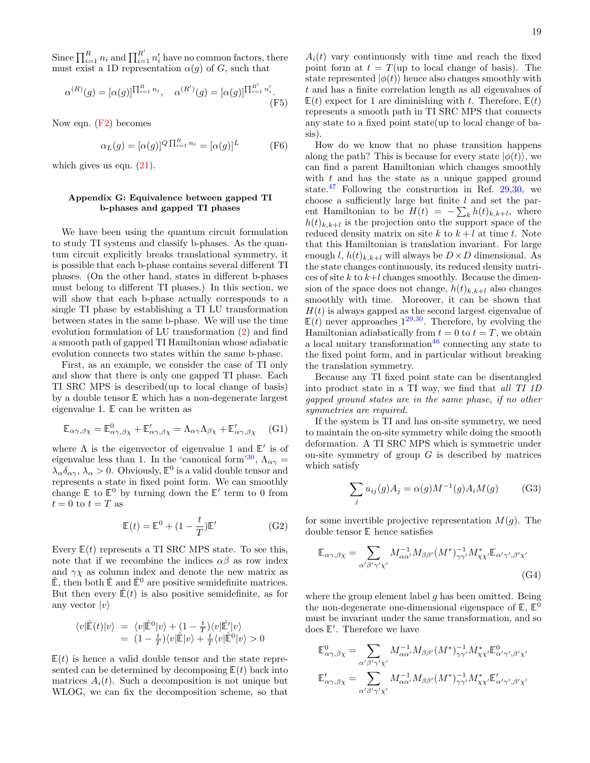Since  $\prod_{i=1}^R n_i$  and  $\prod_{i=1}^{R'} n'_i$  have no common factors, there must exist a 1D representation  $\alpha(g)$  of G, such that

$$
\alpha^{(R)}(g) = [\alpha(g)]^{\prod_{i=1}^{R} n_i}, \quad \alpha^{(R')}(g) = [\alpha(g)]^{\prod_{i=1}^{R'} n'_i}.
$$
\n(F5)

Now eqn. [\(F2\)](#page-17-2) becomes

$$
\alpha_L(g) = [\alpha(g)]^Q \prod_{i=1}^R n_i = [\alpha(g)]^L \tag{F6}
$$

which gives us eqn.  $(21)$ .

### <span id="page-18-0"></span>Appendix G: Equivalence between gapped TI b-phases and gapped TI phases

We have been using the quantum circuit formulation to study TI systems and classify b-phases. As the quantum circuit explicitly breaks translational symmetry, it is possible that each b-phase contains several different TI phases. (On the other hand, states in different b-phases must belong to different TI phases.) In this section, we will show that each b-phase actually corresponds to a single TI phase by establishing a TI LU transformation between states in the same b-phase. We will use the time evolution formulation of LU transformation [\(2\)](#page-2-2) and find a smooth path of gapped TI Hamiltonian whose adiabatic evolution connects two states within the same b-phase.

First, as an example, we consider the case of TI only and show that there is only one gapped TI phase. Each TI SRC MPS is described(up to local change of basis) by a double tensor E which has a non-degenerate largest eigenvalue 1. E can be written as

$$
\mathbb{E}_{\alpha\gamma,\beta\chi} = \mathbb{E}^0_{\alpha\gamma,\beta\chi} + \mathbb{E}'_{\alpha\gamma,\beta\chi} = \Lambda_{\alpha\gamma}\Lambda_{\beta\chi} + \mathbb{E}'_{\alpha\gamma,\beta\chi}
$$
 (G1)

where  $\Lambda$  is the eigenvector of eigenvalue 1 and  $E'$  is of eigenvalue less than 1. In the 'canonical form'<sup>[30](#page-20-9)</sup>,  $\Lambda_{\alpha\gamma}$  =  $\lambda_{\alpha}\delta_{\alpha\gamma}, \lambda_{\alpha} > 0$ . Obviously,  $\mathbb{E}^0$  is a valid double tensor and represents a state in fixed point form. We can smoothly change  $E$  to  $E^0$  by turning down the  $E'$  term to 0 from  $t=0$  to  $t=T$  as

<span id="page-18-1"></span>
$$
\mathbb{E}(t) = \mathbb{E}^0 + (1 - \frac{t}{T})\mathbb{E}'
$$
 (G2)

Every  $E(t)$  represents a TI SRC MPS state. To see this, note that if we recombine the indices  $\alpha\beta$  as row index and  $\gamma \chi$  as column index and denote the new matrix as  $\hat{\mathbb{E}}$ , then both  $\hat{\mathbb{E}}$  and  $\hat{\mathbb{E}}^0$  are positive semidefinite matrices. But then every  $\mathbb{E}(t)$  is also positive semidefinite, as for any vector  $|v\rangle$ 

$$
\langle v|\hat{\mathbb{E}}(t)|v\rangle = \langle v|\hat{\mathbb{E}}^0|v\rangle + (1 - \frac{t}{T})\langle v|\hat{\mathbb{E}}'|v\rangle = (1 - \frac{t}{T})\langle v|\hat{\mathbb{E}}|v\rangle + \frac{t}{T}\langle v|\hat{\mathbb{E}}^0|v\rangle > 0
$$

 $E(t)$  is hence a valid double tensor and the state represented can be determined by decomposing  $E(t)$  back into matrices  $A_i(t)$ . Such a decomposition is not unique but WLOG, we can fix the decomposition scheme, so that

 $A_i(t)$  vary continuously with time and reach the fixed point form at  $t = T$ (up to local change of basis). The state represented  $|\phi(t)\rangle$  hence also changes smoothly with t and has a finite correlation length as all eigenvalues of  $E(t)$  expect for 1 are diminishing with t. Therefore,  $E(t)$ represents a smooth path in TI SRC MPS that connects any state to a fixed point state(up to local change of basis).

How do we know that no phase transition happens along the path? This is because for every state  $|\phi(t)\rangle$ , we can find a parent Hamiltonian which changes smoothly with  $t$  and has the state as a unique gapped ground state.<sup>[47](#page-20-22)</sup> Following the construction in Ref. [29,](#page-20-8)[30,](#page-20-9) we choose a sufficiently large but finite  $l$  and set the parent Hamiltonian to be  $H(t) = -\sum_{k} h(t)_{k,k+l}$ , where  $h(t)_{k,k+l}$  is the projection onto the support space of the reduced density matrix on site k to  $k + l$  at time t. Note that this Hamiltonian is translation invariant. For large enough l,  $h(t)_{k,k+l}$  will always be  $D \times D$  dimensional. As the state changes continuously, its reduced density matrices of site  $k$  to  $k+l$  changes smoothly. Because the dimension of the space does not change,  $h(t)_{k,k+l}$  also changes smoothly with time. Moreover, it can be shown that  $H(t)$  is always gapped as the second largest eigenvalue of  $E(t)$  never approaches  $1^{29,30}$  $1^{29,30}$  $1^{29,30}$  $1^{29,30}$ . Therefore, by evolving the Hamiltonian adiabatically from  $t = 0$  to  $t = T$ , we obtain a local unitary transformation  $46$  connecting any state to the fixed point form, and in particular without breaking the translation symmetry.

Because any TI fixed point state can be disentangled into product state in a TI way, we find that all TI 1D gapped ground states are in the same phase, if no other symmetries are required.

If the system is TI and has on-site symmetry, we need to maintain the on-site symmetry while doing the smooth deformation. A TI SRC MPS which is symmetric under on-site symmetry of group  $G$  is described by matrices which satisfy

<span id="page-18-2"></span>
$$
\sum_{j} u_{ij}(g) A_j = \alpha(g) M^{-1}(g) A_i M(g) \tag{G3}
$$

for some invertible projective representation  $M(q)$ . The double tensor E hence satisfies

$$
\mathbb{E}_{\alpha\gamma,\beta\chi} = \sum_{\alpha'\beta'\gamma'\chi'} M_{\alpha\alpha'}^{-1} M_{\beta\beta'} (M^*)^{-1}_{\gamma\gamma'} M^*_{\chi\chi'} \mathbb{E}_{\alpha'\gamma',\beta'\chi'} \tag{G4}
$$

where the group element label  $g$  has been omitted. Being the non-degenerate one-dimensional eigenspace of  $\mathbb{E}, \mathbb{E}^{\tilde{0}}$ must be invariant under the same transformation, and so does  $E'$ . Therefore we have

$$
\begin{aligned} \mathbb{E}^0_{\alpha\gamma,\beta\chi} &= \sum_{\alpha'\beta'\gamma'\chi'} M_{\alpha\alpha'}^{-1} M_{\beta\beta'}(M^*)^{-1}_{\gamma\gamma'} M^*_{\chi\chi'} \mathbb{E}^0_{\alpha'\gamma',\beta'\chi'}\\ \mathbb{E}'_{\alpha\gamma,\beta\chi} &= \sum_{\alpha'\beta'\gamma'\chi'} M_{\alpha\alpha'}^{-1} M_{\beta\beta'}(M^*)^{-1}_{\gamma\gamma'} M^*_{\chi\chi'} \mathbb{E}'_{\alpha'\gamma',\beta'\chi'} \end{aligned}
$$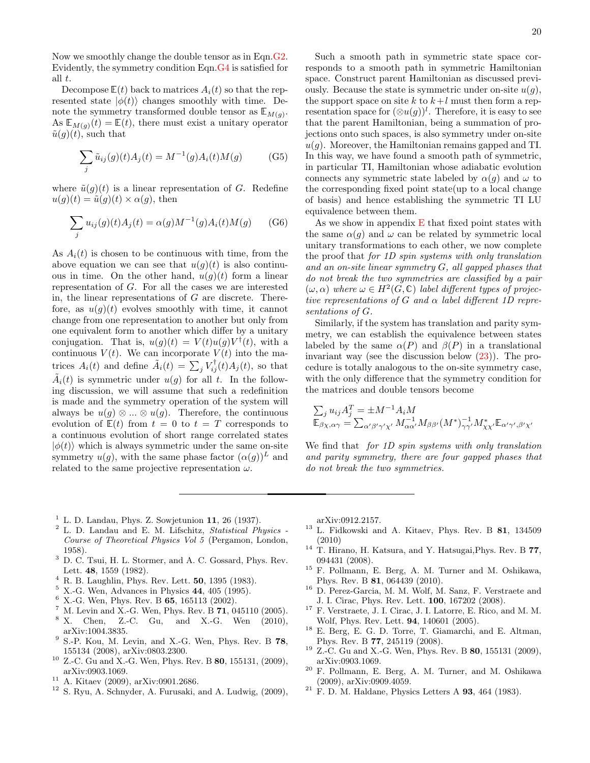Now we smoothly change the double tensor as in Eqn[.G2.](#page-18-1) Evidently, the symmetry condition Eqn[.G4](#page-18-2) is satisfied for all t.

Decompose  $E(t)$  back to matrices  $A_i(t)$  so that the represented state  $|\phi(t)\rangle$  changes smoothly with time. Denote the symmetry transformed double tensor as  $\mathbb{E}_{M(g)}$ . As  $\mathbb{E}_{M(q)}(t) = \mathbb{E}(t)$ , there must exist a unitary operator  $\tilde{u}(q)(t)$ , such that

$$
\sum_{j} \tilde{u}_{ij}(g)(t) A_j(t) = M^{-1}(g) A_i(t) M(g)
$$
 (G5)

where  $\tilde{u}(q)(t)$  is a linear representation of G. Redefine  $u(g)(t) = \tilde{u}(g)(t) \times \alpha(g)$ , then

$$
\sum_{j} u_{ij}(g)(t)A_j(t) = \alpha(g)M^{-1}(g)A_i(t)M(g) \qquad (G6)
$$

As  $A_i(t)$  is chosen to be continuous with time, from the above equation we can see that  $u(g)(t)$  is also continuous in time. On the other hand,  $u(g)(t)$  form a linear representation of G. For all the cases we are interested in, the linear representations of  $G$  are discrete. Therefore, as  $u(q)(t)$  evolves smoothly with time, it cannot change from one representation to another but only from one equivalent form to another which differ by a unitary conjugation. That is,  $u(g)(t) = V(t)u(g)V^{\dagger}(t)$ , with a continuous  $V(t)$ . We can incorporate  $V(t)$  into the matrices  $A_i(t)$  and define  $\tilde{A}_i(t) = \sum_j V_{ij}^{\dagger}(t) A_j(t)$ , so that  $\tilde{A}_i(t)$  is symmetric under  $u(g)$  for all t. In the following discussion, we will assume that such a redefinition is made and the symmetry operation of the system will always be  $u(g) \otimes ... \otimes u(g)$ . Therefore, the continuous evolution of  $E(t)$  from  $t = 0$  to  $t = T$  corresponds to a continuous evolution of short range correlated states  $|\phi(t)\rangle$  which is always symmetric under the same on-site symmetry  $u(q)$ , with the same phase factor  $(\alpha(q))^L$  and related to the same projective representation  $\omega$ .

Such a smooth path in symmetric state space corresponds to a smooth path in symmetric Hamiltonian space. Construct parent Hamiltonian as discussed previously. Because the state is symmetric under on-site  $u(g)$ , the support space on site k to  $k+l$  must then form a representation space for  $(\otimes u(g))^l$ . Therefore, it is easy to see that the parent Hamiltonian, being a summation of projections onto such spaces, is also symmetry under on-site  $u(q)$ . Moreover, the Hamiltonian remains gapped and TI. In this way, we have found a smooth path of symmetric, in particular TI, Hamiltonian whose adiabatic evolution connects any symmetric state labeled by  $\alpha(q)$  and  $\omega$  to the corresponding fixed point state(up to a local change of basis) and hence establishing the symmetric TI LU equivalence between them.

As we show in appendix  $E$  that fixed point states with the same  $\alpha(q)$  and  $\omega$  can be related by symmetric local unitary transformations to each other, we now complete the proof that for 1D spin systems with only translation and an on-site linear symmetry G, all gapped phases that do not break the two symmetries are classified by a pair  $(\omega, \alpha)$  where  $\omega \in H^2(G, \mathbb{C})$  label different types of projective representations of G and  $\alpha$  label different 1D representations of G.

Similarly, if the system has translation and parity symmetry, we can establish the equivalence between states labeled by the same  $\alpha(P)$  and  $\beta(P)$  in a translational invariant way (see the discussion below [\(23\)](#page-10-0)). The procedure is totally analogous to the on-site symmetry case, with the only difference that the symmetry condition for the matrices and double tensors become

$$
\sum_{j} u_{ij} A_j^T = \pm M^{-1} A_i M
$$
  

$$
\mathbb{E}_{\beta \chi,\alpha\gamma} = \sum_{\alpha'\beta'\gamma'\chi'} M_{\alpha\alpha'}^{-1} M_{\beta\beta'} (M^*)^{-1}_{\gamma\gamma'} M^*_{\chi\chi'} \mathbb{E}_{\alpha'\gamma',\beta'\chi'}
$$

We find that *for 1D spin systems with only translation* and parity symmetry, there are four gapped phases that do not break the two symmetries.

- <span id="page-19-0"></span> $<sup>1</sup>$  L. D. Landau, Phys. Z. Sowjetunion 11, 26 (1937).</sup>
- <span id="page-19-1"></span><sup>2</sup> L. D. Landau and E. M. Lifschitz, Statistical Physics - Course of Theoretical Physics Vol 5 (Pergamon, London, 1958).
- <span id="page-19-2"></span><sup>3</sup> D. C. Tsui, H. L. Stormer, and A. C. Gossard, Phys. Rev. Lett. 48, 1559 (1982).
- <span id="page-19-3"></span> $4$  R. B. Laughlin, Phys. Rev. Lett. **50**, 1395 (1983).
- <span id="page-19-4"></span> $^{5}$  X.-G. Wen, Advances in Physics 44, 405 (1995).<br> $^{6}$  X. C. Wen, Phys. Boy, B.65, 165113 (2002).
- <span id="page-19-5"></span><sup>6</sup> X.-G. Wen, Phys. Rev. B **65**, 165113 (2002).
- <span id="page-19-6"></span><sup>7</sup> M. Levin and X.-G. Wen, Phys. Rev. B **71**, 045110 (2005).<br><sup>8</sup> X Chen Z.-C. Gu and X.-G. Wen (2010).
- <span id="page-19-7"></span><sup>8</sup> X. Chen, Z.-C. Gu, and X.-G. Wen (2010), arXiv:1004.3835.
- <span id="page-19-8"></span><sup>9</sup> S.-P. Kou, M. Levin, and X.-G. Wen, Phys. Rev. B 78, 155134 (2008), arXiv:0803.2300.
- <span id="page-19-9"></span> $10$  Z.-C. Gu and X.-G. Wen, Phys. Rev. B 80, 155131, (2009), arXiv:0903.1069.
- <span id="page-19-10"></span> $^{11}\,$  A. Kitaev (2009), arXiv:0901.2686.
- <span id="page-19-11"></span><sup>12</sup> S. Ryu, A. Schnyder, A. Furusaki, and A. Ludwig, (2009),

arXiv:0912.2157.

- <span id="page-19-12"></span><sup>13</sup> L. Fidkowski and A. Kitaev, Phys. Rev. B 81, 134509 (2010)
- <span id="page-19-13"></span> $14$  T. Hirano, H. Katsura, and Y. Hatsugai, Phys. Rev. B 77, 094431 (2008).
- <span id="page-19-14"></span><sup>15</sup> F. Pollmann, E. Berg, A. M. Turner and M. Oshikawa, Phys. Rev. B 81, 064439 (2010).
- <span id="page-19-20"></span><sup>16</sup> D. Perez-Garcia, M. M. Wolf, M. Sanz, F. Verstraete and J. I. Cirac, Phys. Rev. Lett. 100, 167202 (2008).
- <span id="page-19-15"></span><sup>17</sup> F. Verstraete, J. I. Cirac, J. I. Latorre, E. Rico, and M. M. Wolf, Phys. Rev. Lett. 94, 140601 (2005).
- <span id="page-19-16"></span><sup>18</sup> E. Berg, E. G. D. Torre, T. Giamarchi, and E. Altman, Phys. Rev. B 77, 245119 (2008).
- <span id="page-19-19"></span><sup>19</sup> Z.-C. Gu and X.-G. Wen, Phys. Rev. B 80, 155131 (2009), arXiv:0903.1069.
- <span id="page-19-17"></span><sup>20</sup> F. Pollmann, E. Berg, A. M. Turner, and M. Oshikawa (2009), arXiv:0909.4059.
- <span id="page-19-18"></span> $21$  F. D. M. Haldane, Physics Letters A 93, 464 (1983).